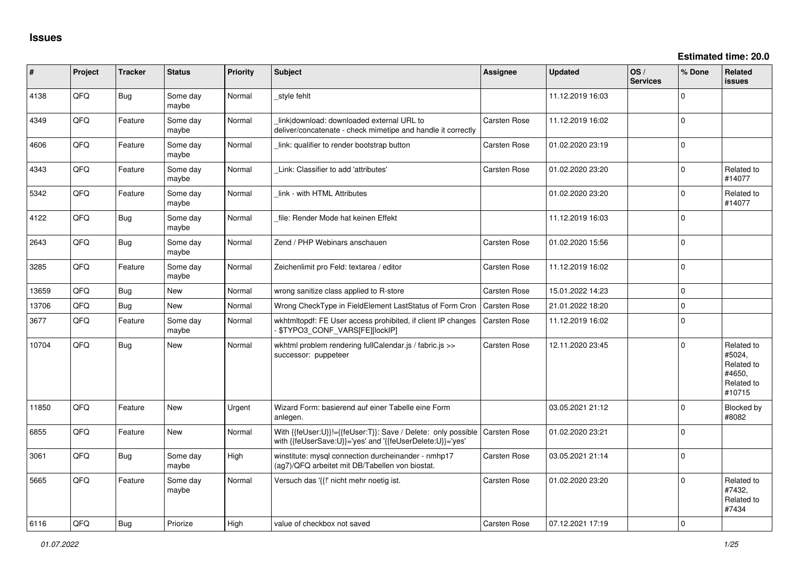| ∦     | Project | <b>Tracker</b> | <b>Status</b>     | Priority    | <b>Subject</b>                                                                                                             | Assignee            | <b>Updated</b>   | OS/<br><b>Services</b> | % Done      | Related<br><b>issues</b>                                             |
|-------|---------|----------------|-------------------|-------------|----------------------------------------------------------------------------------------------------------------------------|---------------------|------------------|------------------------|-------------|----------------------------------------------------------------------|
| 4138  | QFQ     | Bug            | Some day<br>maybe | Normal      | style fehlt                                                                                                                |                     | 11.12.2019 16:03 |                        | $\Omega$    |                                                                      |
| 4349  | QFQ     | Feature        | Some day<br>maybe | Normal      | link download: downloaded external URL to<br>deliver/concatenate - check mimetipe and handle it correctly                  | Carsten Rose        | 11.12.2019 16:02 |                        | $\Omega$    |                                                                      |
| 4606  | QFQ     | Feature        | Some day<br>maybe | Normal      | link: qualifier to render bootstrap button                                                                                 | Carsten Rose        | 01.02.2020 23:19 |                        | $\Omega$    |                                                                      |
| 4343  | QFQ     | Feature        | Some day<br>maybe | Normal      | Link: Classifier to add 'attributes'                                                                                       | Carsten Rose        | 01.02.2020 23:20 |                        | $\Omega$    | Related to<br>#14077                                                 |
| 5342  | QFQ     | Feature        | Some day<br>maybe | Normal      | link - with HTML Attributes                                                                                                |                     | 01.02.2020 23:20 |                        | $\Omega$    | Related to<br>#14077                                                 |
| 4122  | QFQ     | Bug            | Some day<br>maybe | Normal      | file: Render Mode hat keinen Effekt                                                                                        |                     | 11.12.2019 16:03 |                        | $\Omega$    |                                                                      |
| 2643  | QFQ     | Bug            | Some day<br>maybe | Normal      | Zend / PHP Webinars anschauen                                                                                              | Carsten Rose        | 01.02.2020 15:56 |                        | $\mathbf 0$ |                                                                      |
| 3285  | QFQ     | Feature        | Some day<br>maybe | Normal      | Zeichenlimit pro Feld: textarea / editor                                                                                   | Carsten Rose        | 11.12.2019 16:02 |                        | $\Omega$    |                                                                      |
| 13659 | QFQ     | Bug            | <b>New</b>        | Normal      | wrong sanitize class applied to R-store                                                                                    | Carsten Rose        | 15.01.2022 14:23 |                        | $\mathbf 0$ |                                                                      |
| 13706 | QFQ     | Bug            | New               | Normal      | Wrong CheckType in FieldElement LastStatus of Form Cron                                                                    | Carsten Rose        | 21.01.2022 18:20 |                        | $\Omega$    |                                                                      |
| 3677  | QFQ     | Feature        | Some day<br>maybe | Normal      | wkhtmltopdf: FE User access prohibited, if client IP changes<br>\$TYPO3_CONF_VARS[FE][lockIP]                              | <b>Carsten Rose</b> | 11.12.2019 16:02 |                        | $\Omega$    |                                                                      |
| 10704 | QFQ     | Bug            | <b>New</b>        | Normal      | wkhtml problem rendering fullCalendar.js / fabric.js >><br>successor: puppeteer                                            | Carsten Rose        | 12.11.2020 23:45 |                        | $\Omega$    | Related to<br>#5024,<br>Related to<br>#4650,<br>Related to<br>#10715 |
| 11850 | QFQ     | Feature        | <b>New</b>        | Urgent      | Wizard Form: basierend auf einer Tabelle eine Form<br>anlegen.                                                             |                     | 03.05.2021 21:12 |                        | $\Omega$    | <b>Blocked by</b><br>#8082                                           |
| 6855  | QFQ     | Feature        | <b>New</b>        | Normal      | With {{feUser:U}}!={{feUser:T}}: Save / Delete: only possible<br>with {{feUserSave:U}}='yes' and '{{feUserDelete:U}}='yes' | <b>Carsten Rose</b> | 01.02.2020 23:21 |                        | $\Omega$    |                                                                      |
| 3061  | QFQ     | Bug            | Some day<br>maybe | High        | winstitute: mysql connection durcheinander - nmhp17<br>(ag7)/QFQ arbeitet mit DB/Tabellen von biostat.                     | Carsten Rose        | 03.05.2021 21:14 |                        | $\Omega$    |                                                                      |
| 5665  | QFQ     | Feature        | Some day<br>maybe | Normal      | Versuch das '{{!' nicht mehr noetig ist.                                                                                   | <b>Carsten Rose</b> | 01.02.2020 23:20 |                        | $\Omega$    | Related to<br>#7432.<br>Related to<br>#7434                          |
| 6116  | OFO     | Bug            | Priorize          | <b>High</b> | value of checkbox not saved                                                                                                | <b>Carsten Rose</b> | 07.12.2021 17:19 |                        | $\Omega$    |                                                                      |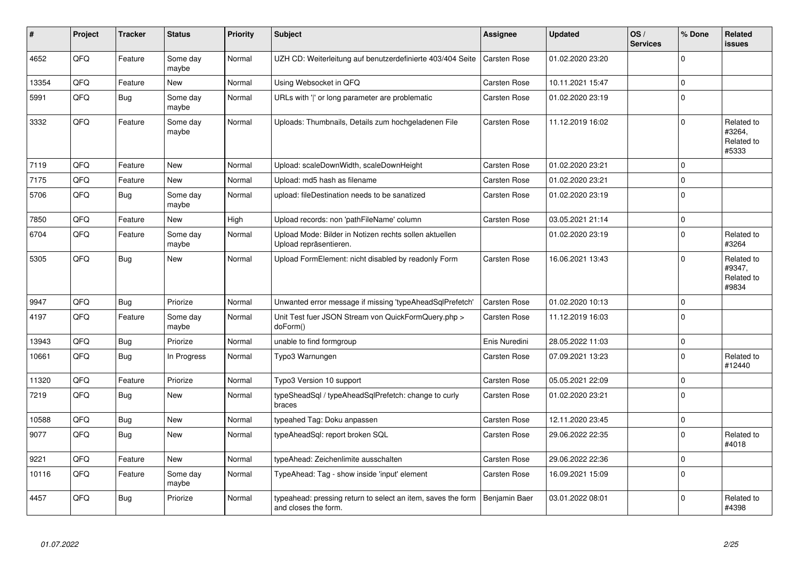| ∦     | Project | <b>Tracker</b> | <b>Status</b>     | <b>Priority</b> | <b>Subject</b>                                                                       | Assignee            | <b>Updated</b>   | OS/<br><b>Services</b> | % Done      | Related<br><b>issues</b>                    |
|-------|---------|----------------|-------------------|-----------------|--------------------------------------------------------------------------------------|---------------------|------------------|------------------------|-------------|---------------------------------------------|
| 4652  | QFQ     | Feature        | Some day<br>maybe | Normal          | UZH CD: Weiterleitung auf benutzerdefinierte 403/404 Seite                           | Carsten Rose        | 01.02.2020 23:20 |                        | $\Omega$    |                                             |
| 13354 | QFQ     | Feature        | <b>New</b>        | Normal          | Using Websocket in QFQ                                                               | Carsten Rose        | 10.11.2021 15:47 |                        | $\Omega$    |                                             |
| 5991  | QFQ     | <b>Bug</b>     | Some day<br>maybe | Normal          | URLs with ' ' or long parameter are problematic                                      | Carsten Rose        | 01.02.2020 23:19 |                        | $\mathbf 0$ |                                             |
| 3332  | QFQ     | Feature        | Some day<br>maybe | Normal          | Uploads: Thumbnails, Details zum hochgeladenen File                                  | Carsten Rose        | 11.12.2019 16:02 |                        | $\Omega$    | Related to<br>#3264,<br>Related to<br>#5333 |
| 7119  | QFQ     | Feature        | <b>New</b>        | Normal          | Upload: scaleDownWidth, scaleDownHeight                                              | Carsten Rose        | 01.02.2020 23:21 |                        | $\Omega$    |                                             |
| 7175  | QFQ     | Feature        | New               | Normal          | Upload: md5 hash as filename                                                         | <b>Carsten Rose</b> | 01.02.2020 23:21 |                        | $\mathbf 0$ |                                             |
| 5706  | QFQ     | <b>Bug</b>     | Some day<br>maybe | Normal          | upload: fileDestination needs to be sanatized                                        | Carsten Rose        | 01.02.2020 23:19 |                        | $\mathbf 0$ |                                             |
| 7850  | QFQ     | Feature        | <b>New</b>        | High            | Upload records: non 'pathFileName' column                                            | <b>Carsten Rose</b> | 03.05.2021 21:14 |                        | $\mathbf 0$ |                                             |
| 6704  | QFQ     | Feature        | Some day<br>maybe | Normal          | Upload Mode: Bilder in Notizen rechts sollen aktuellen<br>Upload repräsentieren.     |                     | 01.02.2020 23:19 |                        | $\Omega$    | Related to<br>#3264                         |
| 5305  | QFQ     | Bug            | <b>New</b>        | Normal          | Upload FormElement: nicht disabled by readonly Form                                  | Carsten Rose        | 16.06.2021 13:43 |                        | $\Omega$    | Related to<br>#9347,<br>Related to<br>#9834 |
| 9947  | QFQ     | Bug            | Priorize          | Normal          | Unwanted error message if missing 'typeAheadSqlPrefetch'                             | Carsten Rose        | 01.02.2020 10:13 |                        | $\Omega$    |                                             |
| 4197  | QFQ     | Feature        | Some day<br>maybe | Normal          | Unit Test fuer JSON Stream von QuickFormQuery.php ><br>doForm()                      | Carsten Rose        | 11.12.2019 16:03 |                        | $\mathbf 0$ |                                             |
| 13943 | QFQ     | <b>Bug</b>     | Priorize          | Normal          | unable to find formgroup                                                             | Enis Nuredini       | 28.05.2022 11:03 |                        | $\mathbf 0$ |                                             |
| 10661 | QFQ     | Bug            | In Progress       | Normal          | Typo3 Warnungen                                                                      | Carsten Rose        | 07.09.2021 13:23 |                        | $\mathbf 0$ | Related to<br>#12440                        |
| 11320 | QFQ     | Feature        | Priorize          | Normal          | Typo3 Version 10 support                                                             | Carsten Rose        | 05.05.2021 22:09 |                        | $\mathbf 0$ |                                             |
| 7219  | QFQ     | Bug            | <b>New</b>        | Normal          | typeSheadSql / typeAheadSqlPrefetch: change to curly<br>braces                       | Carsten Rose        | 01.02.2020 23:21 |                        | $\Omega$    |                                             |
| 10588 | QFQ     | Bug            | <b>New</b>        | Normal          | typeahed Tag: Doku anpassen                                                          | Carsten Rose        | 12.11.2020 23:45 |                        | $\mathbf 0$ |                                             |
| 9077  | QFQ     | <b>Bug</b>     | <b>New</b>        | Normal          | typeAheadSql: report broken SQL                                                      | Carsten Rose        | 29.06.2022 22:35 |                        | $\mathbf 0$ | Related to<br>#4018                         |
| 9221  | QFQ     | Feature        | <b>New</b>        | Normal          | typeAhead: Zeichenlimite ausschalten                                                 | Carsten Rose        | 29.06.2022 22:36 |                        | $\Omega$    |                                             |
| 10116 | QFQ     | Feature        | Some day<br>maybe | Normal          | TypeAhead: Tag - show inside 'input' element                                         | Carsten Rose        | 16.09.2021 15:09 |                        | $\mathbf 0$ |                                             |
| 4457  | QFQ     | Bug            | Priorize          | Normal          | typeahead: pressing return to select an item, saves the form<br>and closes the form. | Benjamin Baer       | 03.01.2022 08:01 |                        | $\Omega$    | Related to<br>#4398                         |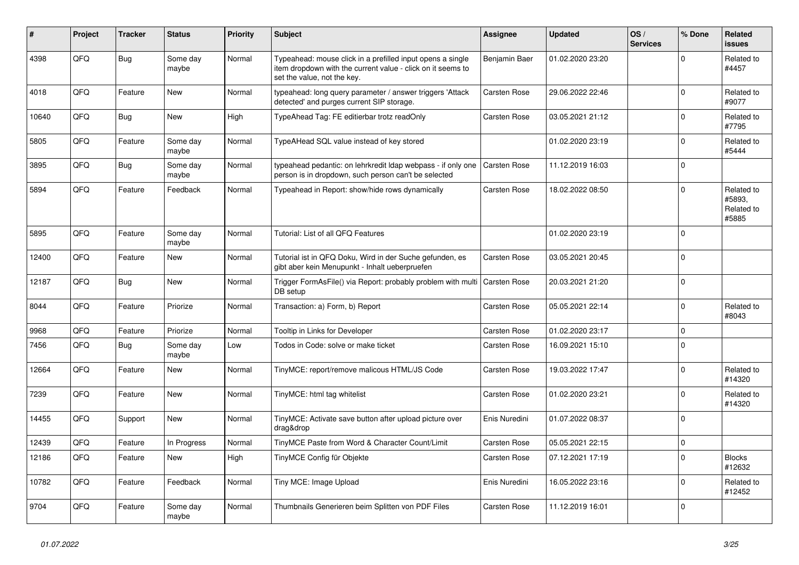| #     | Project | <b>Tracker</b> | <b>Status</b>     | <b>Priority</b> | <b>Subject</b>                                                                                                                                           | Assignee            | <b>Updated</b>   | OS/<br><b>Services</b> | % Done         | Related<br><b>issues</b>                    |
|-------|---------|----------------|-------------------|-----------------|----------------------------------------------------------------------------------------------------------------------------------------------------------|---------------------|------------------|------------------------|----------------|---------------------------------------------|
| 4398  | QFQ     | <b>Bug</b>     | Some day<br>maybe | Normal          | Typeahead: mouse click in a prefilled input opens a single<br>item dropdown with the current value - click on it seems to<br>set the value, not the key. | Benjamin Baer       | 01.02.2020 23:20 |                        | $\mathbf 0$    | Related to<br>#4457                         |
| 4018  | QFQ     | Feature        | <b>New</b>        | Normal          | typeahead: long query parameter / answer triggers 'Attack<br>detected' and purges current SIP storage.                                                   | Carsten Rose        | 29.06.2022 22:46 |                        | $\Omega$       | Related to<br>#9077                         |
| 10640 | QFQ     | Bug            | <b>New</b>        | High            | TypeAhead Tag: FE editierbar trotz readOnly                                                                                                              | Carsten Rose        | 03.05.2021 21:12 |                        | $\mathbf 0$    | Related to<br>#7795                         |
| 5805  | QFQ     | Feature        | Some day<br>maybe | Normal          | TypeAHead SQL value instead of key stored                                                                                                                |                     | 01.02.2020 23:19 |                        | 0              | Related to<br>#5444                         |
| 3895  | QFQ     | <b>Bug</b>     | Some day<br>maybe | Normal          | typeahead pedantic: on lehrkredit Idap webpass - if only one<br>person is in dropdown, such person can't be selected                                     | Carsten Rose        | 11.12.2019 16:03 |                        | $\overline{0}$ |                                             |
| 5894  | QFQ     | Feature        | Feedback          | Normal          | Typeahead in Report: show/hide rows dynamically                                                                                                          | Carsten Rose        | 18.02.2022 08:50 |                        | $\overline{0}$ | Related to<br>#5893.<br>Related to<br>#5885 |
| 5895  | QFQ     | Feature        | Some day<br>maybe | Normal          | Tutorial: List of all QFQ Features                                                                                                                       |                     | 01.02.2020 23:19 |                        | $\overline{0}$ |                                             |
| 12400 | QFQ     | Feature        | <b>New</b>        | Normal          | Tutorial ist in QFQ Doku, Wird in der Suche gefunden, es<br>gibt aber kein Menupunkt - Inhalt ueberpruefen                                               | Carsten Rose        | 03.05.2021 20:45 |                        | $\overline{0}$ |                                             |
| 12187 | QFQ     | <b>Bug</b>     | New               | Normal          | Trigger FormAsFile() via Report: probably problem with multi<br>DB setup                                                                                 | Carsten Rose        | 20.03.2021 21:20 |                        | 0              |                                             |
| 8044  | QFQ     | Feature        | Priorize          | Normal          | Transaction: a) Form, b) Report                                                                                                                          | Carsten Rose        | 05.05.2021 22:14 |                        | $\overline{0}$ | Related to<br>#8043                         |
| 9968  | QFQ     | Feature        | Priorize          | Normal          | Tooltip in Links for Developer                                                                                                                           | <b>Carsten Rose</b> | 01.02.2020 23:17 |                        | 0              |                                             |
| 7456  | QFQ     | Bug            | Some day<br>maybe | Low             | Todos in Code: solve or make ticket                                                                                                                      | Carsten Rose        | 16.09.2021 15:10 |                        | 0              |                                             |
| 12664 | QFQ     | Feature        | <b>New</b>        | Normal          | TinyMCE: report/remove malicous HTML/JS Code                                                                                                             | Carsten Rose        | 19.03.2022 17:47 |                        | 0              | Related to<br>#14320                        |
| 7239  | QFQ     | Feature        | New               | Normal          | TinyMCE: html tag whitelist                                                                                                                              | Carsten Rose        | 01.02.2020 23:21 |                        | $\mathbf 0$    | Related to<br>#14320                        |
| 14455 | QFQ     | Support        | New               | Normal          | TinyMCE: Activate save button after upload picture over<br>drag&drop                                                                                     | Enis Nuredini       | 01.07.2022 08:37 |                        | $\overline{0}$ |                                             |
| 12439 | QFQ     | Feature        | In Progress       | Normal          | TinyMCE Paste from Word & Character Count/Limit                                                                                                          | <b>Carsten Rose</b> | 05.05.2021 22:15 |                        | 0              |                                             |
| 12186 | QFQ     | Feature        | <b>New</b>        | High            | TinyMCE Config für Objekte                                                                                                                               | Carsten Rose        | 07.12.2021 17:19 |                        | 0              | <b>Blocks</b><br>#12632                     |
| 10782 | QFQ     | Feature        | Feedback          | Normal          | Tiny MCE: Image Upload                                                                                                                                   | Enis Nuredini       | 16.05.2022 23:16 |                        | $\mathbf 0$    | Related to<br>#12452                        |
| 9704  | QFQ     | Feature        | Some day<br>maybe | Normal          | Thumbnails Generieren beim Splitten von PDF Files                                                                                                        | Carsten Rose        | 11.12.2019 16:01 |                        | 0              |                                             |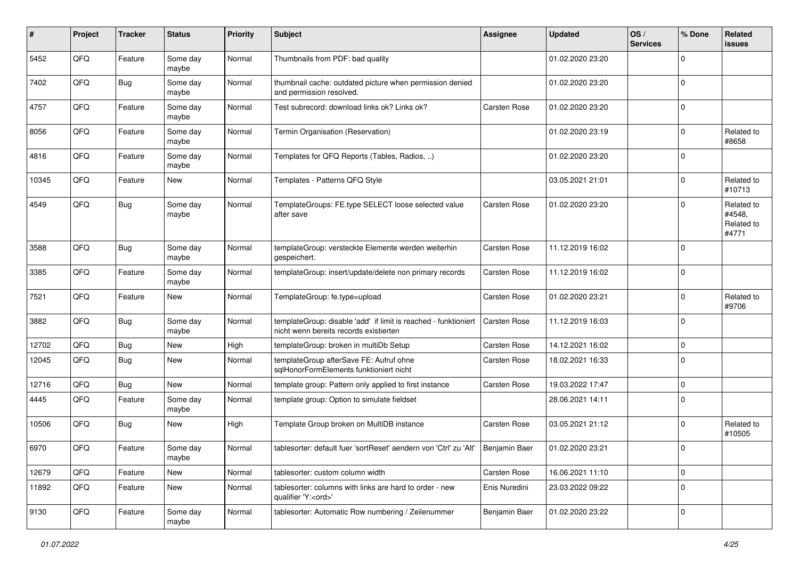| ∦     | Project | <b>Tracker</b> | <b>Status</b>     | <b>Priority</b> | <b>Subject</b>                                                                                            | <b>Assignee</b>     | <b>Updated</b>   | OS/<br><b>Services</b> | % Done         | Related<br><b>issues</b>                    |
|-------|---------|----------------|-------------------|-----------------|-----------------------------------------------------------------------------------------------------------|---------------------|------------------|------------------------|----------------|---------------------------------------------|
| 5452  | QFQ     | Feature        | Some day<br>maybe | Normal          | Thumbnails from PDF: bad quality                                                                          |                     | 01.02.2020 23:20 |                        | $\Omega$       |                                             |
| 7402  | QFQ     | Bug            | Some day<br>maybe | Normal          | thumbnail cache: outdated picture when permission denied<br>and permission resolved.                      |                     | 01.02.2020 23:20 |                        | $\mathbf 0$    |                                             |
| 4757  | QFQ     | Feature        | Some day<br>maybe | Normal          | Test subrecord: download links ok? Links ok?                                                              | Carsten Rose        | 01.02.2020 23:20 |                        | $\Omega$       |                                             |
| 8056  | QFQ     | Feature        | Some day<br>maybe | Normal          | Termin Organisation (Reservation)                                                                         |                     | 01.02.2020 23:19 |                        | $\Omega$       | Related to<br>#8658                         |
| 4816  | QFQ     | Feature        | Some day<br>maybe | Normal          | Templates for QFQ Reports (Tables, Radios, )                                                              |                     | 01.02.2020 23:20 |                        | $\mathbf 0$    |                                             |
| 10345 | QFQ     | Feature        | New               | Normal          | Templates - Patterns QFQ Style                                                                            |                     | 03.05.2021 21:01 |                        | $\Omega$       | Related to<br>#10713                        |
| 4549  | QFQ     | Bug            | Some day<br>maybe | Normal          | TemplateGroups: FE.type SELECT loose selected value<br>after save                                         | Carsten Rose        | 01.02.2020 23:20 |                        | $\Omega$       | Related to<br>#4548,<br>Related to<br>#4771 |
| 3588  | QFQ     | Bug            | Some day<br>maybe | Normal          | templateGroup: versteckte Elemente werden weiterhin<br>gespeichert.                                       | Carsten Rose        | 11.12.2019 16:02 |                        | $\Omega$       |                                             |
| 3385  | QFQ     | Feature        | Some day<br>maybe | Normal          | templateGroup: insert/update/delete non primary records                                                   | Carsten Rose        | 11.12.2019 16:02 |                        | $\Omega$       |                                             |
| 7521  | QFQ     | Feature        | New               | Normal          | TemplateGroup: fe.type=upload                                                                             | Carsten Rose        | 01.02.2020 23:21 |                        | $\Omega$       | Related to<br>#9706                         |
| 3882  | QFQ     | Bug            | Some day<br>maybe | Normal          | templateGroup: disable 'add' if limit is reached - funktioniert<br>nicht wenn bereits records existierten | <b>Carsten Rose</b> | 11.12.2019 16:03 |                        | 0              |                                             |
| 12702 | QFQ     | Bug            | <b>New</b>        | High            | templateGroup: broken in multiDb Setup                                                                    | Carsten Rose        | 14.12.2021 16:02 |                        | $\Omega$       |                                             |
| 12045 | QFQ     | <b>Bug</b>     | New               | Normal          | templateGroup afterSave FE: Aufruf ohne<br>sqlHonorFormElements funktioniert nicht                        | Carsten Rose        | 18.02.2021 16:33 |                        | $\Omega$       |                                             |
| 12716 | QFQ     | <b>Bug</b>     | New               | Normal          | template group: Pattern only applied to first instance                                                    | Carsten Rose        | 19.03.2022 17:47 |                        | $\mathbf 0$    |                                             |
| 4445  | QFQ     | Feature        | Some day<br>maybe | Normal          | template group: Option to simulate fieldset                                                               |                     | 28.06.2021 14:11 |                        | $\mathbf 0$    |                                             |
| 10506 | QFQ     | Bug            | New               | High            | Template Group broken on MultiDB instance                                                                 | Carsten Rose        | 03.05.2021 21:12 |                        | $\mathbf 0$    | Related to<br>#10505                        |
| 6970  | QFQ     | Feature        | Some day<br>maybe | Normal          | tablesorter: default fuer 'sortReset' aendern von 'Ctrl' zu 'Alt'   Benjamin Baer                         |                     | 01.02.2020 23:21 |                        | $\overline{0}$ |                                             |
| 12679 | QFQ     | Feature        | New               | Normal          | tablesorter: custom column width                                                                          | Carsten Rose        | 16.06.2021 11:10 |                        | 0              |                                             |
| 11892 | QFQ     | Feature        | New               | Normal          | tablesorter: columns with links are hard to order - new<br>qualifier 'Y: <ord>'</ord>                     | Enis Nuredini       | 23.03.2022 09:22 |                        | $\mathbf 0$    |                                             |
| 9130  | QFQ     | Feature        | Some day<br>maybe | Normal          | tablesorter: Automatic Row numbering / Zeilenummer                                                        | Benjamin Baer       | 01.02.2020 23:22 |                        | 0              |                                             |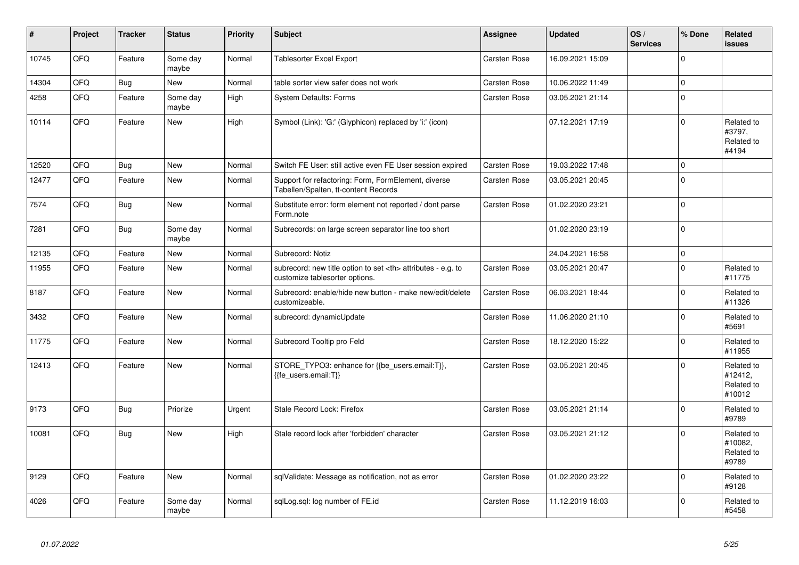| #     | <b>Project</b> | <b>Tracker</b> | <b>Status</b>     | <b>Priority</b> | <b>Subject</b>                                                                                       | <b>Assignee</b>                                        | <b>Updated</b>   | OS/<br><b>Services</b> | % Done      | Related<br>issues                             |                      |
|-------|----------------|----------------|-------------------|-----------------|------------------------------------------------------------------------------------------------------|--------------------------------------------------------|------------------|------------------------|-------------|-----------------------------------------------|----------------------|
| 10745 | QFQ            | Feature        | Some day<br>maybe | Normal          | <b>Tablesorter Excel Export</b>                                                                      | Carsten Rose                                           | 16.09.2021 15:09 |                        | $\Omega$    |                                               |                      |
| 14304 | QFQ            | <b>Bug</b>     | <b>New</b>        | Normal          | table sorter view safer does not work                                                                | Carsten Rose                                           | 10.06.2022 11:49 |                        | $\mathbf 0$ |                                               |                      |
| 4258  | QFQ            | Feature        | Some day<br>maybe | High            | <b>System Defaults: Forms</b>                                                                        | Carsten Rose                                           | 03.05.2021 21:14 |                        | $\mathbf 0$ |                                               |                      |
| 10114 | QFQ            | Feature        | <b>New</b>        | High            | Symbol (Link): 'G:' (Glyphicon) replaced by 'i:' (icon)                                              |                                                        | 07.12.2021 17:19 |                        | $\mathbf 0$ | Related to<br>#3797,<br>Related to<br>#4194   |                      |
| 12520 | QFQ            | <b>Bug</b>     | <b>New</b>        | Normal          | Switch FE User: still active even FE User session expired                                            | Carsten Rose                                           | 19.03.2022 17:48 |                        | $\Omega$    |                                               |                      |
| 12477 | QFQ            | Feature        | <b>New</b>        | Normal          | Support for refactoring: Form, FormElement, diverse<br>Tabellen/Spalten, tt-content Records          | Carsten Rose                                           | 03.05.2021 20:45 |                        | $\mathbf 0$ |                                               |                      |
| 7574  | QFQ            | <b>Bug</b>     | <b>New</b>        | Normal          | Substitute error: form element not reported / dont parse<br>Form.note                                | Carsten Rose                                           | 01.02.2020 23:21 |                        | $\Omega$    |                                               |                      |
| 7281  | QFQ            | <b>Bug</b>     | Some day<br>maybe | Normal          | Subrecords: on large screen separator line too short                                                 |                                                        | 01.02.2020 23:19 |                        | $\Omega$    |                                               |                      |
| 12135 | QFQ            | Feature        | New               | Normal          | Subrecord: Notiz                                                                                     |                                                        | 24.04.2021 16:58 |                        | $\pmb{0}$   |                                               |                      |
| 11955 | QFQ            | Feature        | <b>New</b>        | Normal          | subrecord: new title option to set <th> attributes - e.g. to<br/>customize tablesorter options.</th> | attributes - e.g. to<br>customize tablesorter options. | Carsten Rose     | 03.05.2021 20:47       |             | $\mathbf 0$                                   | Related to<br>#11775 |
| 8187  | QFQ            | Feature        | <b>New</b>        | Normal          | Subrecord: enable/hide new button - make new/edit/delete<br>customizeable.                           | Carsten Rose                                           | 06.03.2021 18:44 |                        | $\mathbf 0$ | Related to<br>#11326                          |                      |
| 3432  | QFQ            | Feature        | New               | Normal          | subrecord: dynamicUpdate                                                                             | Carsten Rose                                           | 11.06.2020 21:10 |                        | $\Omega$    | Related to<br>#5691                           |                      |
| 11775 | QFQ            | Feature        | New               | Normal          | Subrecord Tooltip pro Feld                                                                           | Carsten Rose                                           | 18.12.2020 15:22 |                        | $\mathbf 0$ | Related to<br>#11955                          |                      |
| 12413 | QFQ            | Feature        | <b>New</b>        | Normal          | STORE_TYPO3: enhance for {{be_users.email:T}},<br>{{fe users.email:T}}                               | <b>Carsten Rose</b>                                    | 03.05.2021 20:45 |                        | $\Omega$    | Related to<br>#12412,<br>Related to<br>#10012 |                      |
| 9173  | QFQ            | <b>Bug</b>     | Priorize          | Urgent          | Stale Record Lock: Firefox                                                                           | Carsten Rose                                           | 03.05.2021 21:14 |                        | $\mathbf 0$ | Related to<br>#9789                           |                      |
| 10081 | QFQ            | <b>Bug</b>     | <b>New</b>        | High            | Stale record lock after 'forbidden' character                                                        | Carsten Rose                                           | 03.05.2021 21:12 |                        | $\Omega$    | Related to<br>#10082,<br>Related to<br>#9789  |                      |
| 9129  | QFQ            | Feature        | New               | Normal          | sqlValidate: Message as notification, not as error                                                   | Carsten Rose                                           | 01.02.2020 23:22 |                        | $\mathbf 0$ | Related to<br>#9128                           |                      |
| 4026  | QFQ            | Feature        | Some day<br>maybe | Normal          | sglLog.sgl: log number of FE.id                                                                      | Carsten Rose                                           | 11.12.2019 16:03 |                        | $\mathbf 0$ | Related to<br>#5458                           |                      |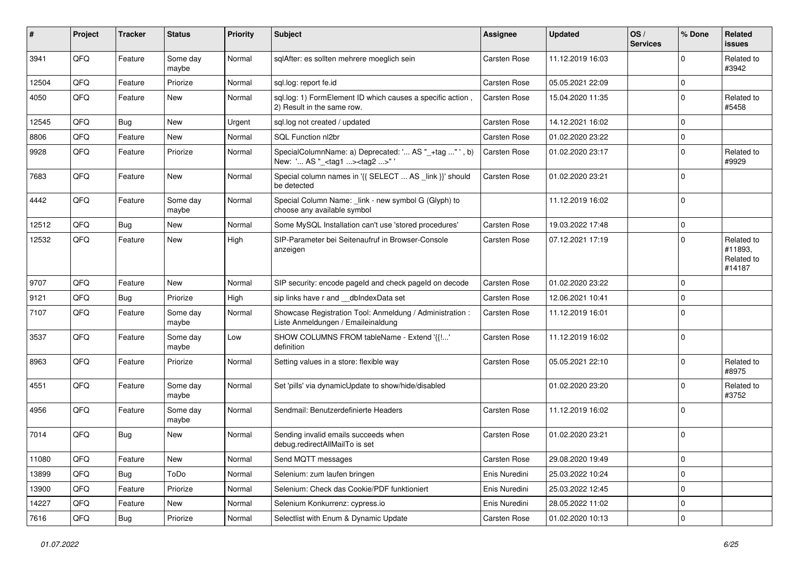| #     | Project | <b>Tracker</b> | <b>Status</b>     | <b>Priority</b> | <b>Subject</b>                                                                                      | <b>Assignee</b>     | <b>Updated</b>   | OS/<br><b>Services</b> | % Done      | Related<br>issues                             |
|-------|---------|----------------|-------------------|-----------------|-----------------------------------------------------------------------------------------------------|---------------------|------------------|------------------------|-------------|-----------------------------------------------|
| 3941  | QFQ     | Feature        | Some day<br>maybe | Normal          | sqlAfter: es sollten mehrere moeglich sein                                                          | <b>Carsten Rose</b> | 11.12.2019 16:03 |                        | $\Omega$    | Related to<br>#3942                           |
| 12504 | QFQ     | Feature        | Priorize          | Normal          | sql.log: report fe.id                                                                               | Carsten Rose        | 05.05.2021 22:09 |                        | $\mathbf 0$ |                                               |
| 4050  | QFQ     | Feature        | New               | Normal          | sql.log: 1) FormElement ID which causes a specific action,<br>2) Result in the same row.            | Carsten Rose        | 15.04.2020 11:35 |                        | $\Omega$    | Related to<br>#5458                           |
| 12545 | QFQ     | Bug            | <b>New</b>        | Urgent          | sql.log not created / updated                                                                       | Carsten Rose        | 14.12.2021 16:02 |                        | $\mathbf 0$ |                                               |
| 8806  | QFQ     | Feature        | New               | Normal          | SQL Function nl2br                                                                                  | Carsten Rose        | 01.02.2020 23:22 |                        | 0           |                                               |
| 9928  | QFQ     | Feature        | Priorize          | Normal          | SpecialColumnName: a) Deprecated: ' AS "_+tag " ', b)<br>New: ' AS "_ <tag1><tag2>" '</tag2></tag1> | <b>Carsten Rose</b> | 01.02.2020 23:17 |                        | $\Omega$    | Related to<br>#9929                           |
| 7683  | QFQ     | Feature        | New               | Normal          | Special column names in '{{ SELECT  AS _link }}' should<br>be detected                              | Carsten Rose        | 01.02.2020 23:21 |                        | $\Omega$    |                                               |
| 4442  | QFQ     | Feature        | Some day<br>maybe | Normal          | Special Column Name: _link - new symbol G (Glyph) to<br>choose any available symbol                 |                     | 11.12.2019 16:02 |                        | $\Omega$    |                                               |
| 12512 | QFQ     | Bug            | <b>New</b>        | Normal          | Some MySQL Installation can't use 'stored procedures'                                               | Carsten Rose        | 19.03.2022 17:48 |                        | 0           |                                               |
| 12532 | QFQ     | Feature        | New               | High            | SIP-Parameter bei Seitenaufruf in Browser-Console<br>anzeigen                                       | Carsten Rose        | 07.12.2021 17:19 |                        | $\mathbf 0$ | Related to<br>#11893,<br>Related to<br>#14187 |
| 9707  | QFQ     | Feature        | <b>New</b>        | Normal          | SIP security: encode pageld and check pageld on decode                                              | <b>Carsten Rose</b> | 01.02.2020 23:22 |                        | $\Omega$    |                                               |
| 9121  | QFQ     | Bug            | Priorize          | High            | sip links have r and __dbIndexData set                                                              | Carsten Rose        | 12.06.2021 10:41 |                        | $\mathbf 0$ |                                               |
| 7107  | QFQ     | Feature        | Some day<br>maybe | Normal          | Showcase Registration Tool: Anmeldung / Administration :<br>Liste Anmeldungen / Emaileinaldung      | Carsten Rose        | 11.12.2019 16:01 |                        | $\Omega$    |                                               |
| 3537  | QFQ     | Feature        | Some day<br>maybe | Low             | SHOW COLUMNS FROM tableName - Extend '{{!'<br>definition                                            | Carsten Rose        | 11.12.2019 16:02 |                        | $\Omega$    |                                               |
| 8963  | QFQ     | Feature        | Priorize          | Normal          | Setting values in a store: flexible way                                                             | Carsten Rose        | 05.05.2021 22:10 |                        | $\Omega$    | Related to<br>#8975                           |
| 4551  | QFQ     | Feature        | Some day<br>maybe | Normal          | Set 'pills' via dynamicUpdate to show/hide/disabled                                                 |                     | 01.02.2020 23:20 |                        | $\Omega$    | Related to<br>#3752                           |
| 4956  | QFQ     | Feature        | Some day<br>maybe | Normal          | Sendmail: Benutzerdefinierte Headers                                                                | Carsten Rose        | 11.12.2019 16:02 |                        | $\mathbf 0$ |                                               |
| 7014  | QFQ     | Bug            | New               | Normal          | Sending invalid emails succeeds when<br>debug.redirectAllMailTo is set                              | Carsten Rose        | 01.02.2020 23:21 |                        | 0           |                                               |
| 11080 | QFQ     | Feature        | New               | Normal          | Send MQTT messages                                                                                  | Carsten Rose        | 29.08.2020 19:49 |                        | 0           |                                               |
| 13899 | QFQ     | Bug            | ToDo              | Normal          | Selenium: zum laufen bringen                                                                        | Enis Nuredini       | 25.03.2022 10:24 |                        | $\mathbf 0$ |                                               |
| 13900 | QFQ     | Feature        | Priorize          | Normal          | Selenium: Check das Cookie/PDF funktioniert                                                         | Enis Nuredini       | 25.03.2022 12:45 |                        | 0           |                                               |
| 14227 | QFQ     | Feature        | New               | Normal          | Selenium Konkurrenz: cypress.io                                                                     | Enis Nuredini       | 28.05.2022 11:02 |                        | 0           |                                               |
| 7616  | QFQ     | Bug            | Priorize          | Normal          | Selectlist with Enum & Dynamic Update                                                               | Carsten Rose        | 01.02.2020 10:13 |                        | 0           |                                               |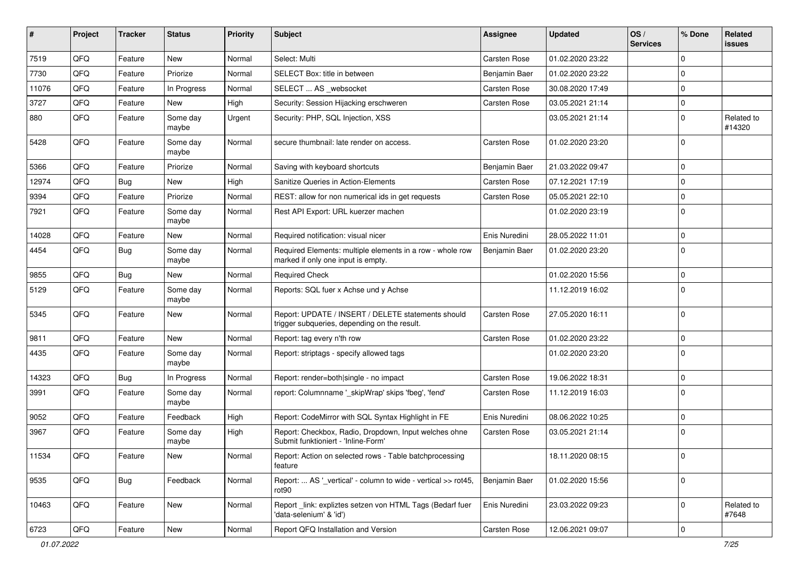| #     | Project | <b>Tracker</b> | <b>Status</b>     | <b>Priority</b> | <b>Subject</b>                                                                                     | <b>Assignee</b> | <b>Updated</b>   | OS/<br><b>Services</b> | % Done      | Related<br>issues    |
|-------|---------|----------------|-------------------|-----------------|----------------------------------------------------------------------------------------------------|-----------------|------------------|------------------------|-------------|----------------------|
| 7519  | QFQ     | Feature        | New               | Normal          | Select: Multi                                                                                      | Carsten Rose    | 01.02.2020 23:22 |                        | $\Omega$    |                      |
| 7730  | QFQ     | Feature        | Priorize          | Normal          | SELECT Box: title in between                                                                       | Benjamin Baer   | 01.02.2020 23:22 |                        | $\Omega$    |                      |
| 11076 | QFQ     | Feature        | In Progress       | Normal          | SELECT  AS _websocket                                                                              | Carsten Rose    | 30.08.2020 17:49 |                        | $\Omega$    |                      |
| 3727  | QFQ     | Feature        | <b>New</b>        | High            | Security: Session Hijacking erschweren                                                             | Carsten Rose    | 03.05.2021 21:14 |                        | 0           |                      |
| 880   | QFQ     | Feature        | Some day<br>maybe | Urgent          | Security: PHP, SQL Injection, XSS                                                                  |                 | 03.05.2021 21:14 |                        | 0           | Related to<br>#14320 |
| 5428  | QFQ     | Feature        | Some day<br>maybe | Normal          | secure thumbnail: late render on access.                                                           | Carsten Rose    | 01.02.2020 23:20 |                        | $\Omega$    |                      |
| 5366  | QFQ     | Feature        | Priorize          | Normal          | Saving with keyboard shortcuts                                                                     | Benjamin Baer   | 21.03.2022 09:47 |                        | $\Omega$    |                      |
| 12974 | QFQ     | <b>Bug</b>     | New               | High            | Sanitize Queries in Action-Elements                                                                | Carsten Rose    | 07.12.2021 17:19 |                        | $\Omega$    |                      |
| 9394  | QFQ     | Feature        | Priorize          | Normal          | REST: allow for non numerical ids in get requests                                                  | Carsten Rose    | 05.05.2021 22:10 |                        | $\mathbf 0$ |                      |
| 7921  | QFQ     | Feature        | Some day<br>maybe | Normal          | Rest API Export: URL kuerzer machen                                                                |                 | 01.02.2020 23:19 |                        | $\Omega$    |                      |
| 14028 | QFQ     | Feature        | New               | Normal          | Required notification: visual nicer                                                                | Enis Nuredini   | 28.05.2022 11:01 |                        | $\mathbf 0$ |                      |
| 4454  | QFQ     | Bug            | Some day<br>maybe | Normal          | Required Elements: multiple elements in a row - whole row<br>marked if only one input is empty.    | Benjamin Baer   | 01.02.2020 23:20 |                        | $\mathbf 0$ |                      |
| 9855  | QFQ     | Bug            | <b>New</b>        | Normal          | <b>Required Check</b>                                                                              |                 | 01.02.2020 15:56 |                        | 0           |                      |
| 5129  | QFQ     | Feature        | Some day<br>maybe | Normal          | Reports: SQL fuer x Achse und y Achse                                                              |                 | 11.12.2019 16:02 |                        | $\Omega$    |                      |
| 5345  | QFQ     | Feature        | <b>New</b>        | Normal          | Report: UPDATE / INSERT / DELETE statements should<br>trigger subqueries, depending on the result. | Carsten Rose    | 27.05.2020 16:11 |                        | $\Omega$    |                      |
| 9811  | QFQ     | Feature        | <b>New</b>        | Normal          | Report: tag every n'th row                                                                         | Carsten Rose    | 01.02.2020 23:22 |                        | $\mathbf 0$ |                      |
| 4435  | QFQ     | Feature        | Some day<br>maybe | Normal          | Report: striptags - specify allowed tags                                                           |                 | 01.02.2020 23:20 |                        | $\Omega$    |                      |
| 14323 | QFQ     | Bug            | In Progress       | Normal          | Report: render=both single - no impact                                                             | Carsten Rose    | 19.06.2022 18:31 |                        | 0           |                      |
| 3991  | QFQ     | Feature        | Some day<br>maybe | Normal          | report: Columnname '_skipWrap' skips 'fbeg', 'fend'                                                | Carsten Rose    | 11.12.2019 16:03 |                        | $\Omega$    |                      |
| 9052  | QFQ     | Feature        | Feedback          | High            | Report: CodeMirror with SQL Syntax Highlight in FE                                                 | Enis Nuredini   | 08.06.2022 10:25 |                        | $\mathbf 0$ |                      |
| 3967  | QFQ     | Feature        | Some day<br>maybe | High            | Report: Checkbox, Radio, Dropdown, Input welches ohne<br>Submit funktioniert - 'Inline-Form'       | Carsten Rose    | 03.05.2021 21:14 |                        | $\Omega$    |                      |
| 11534 | QFQ     | Feature        | New               | Normal          | Report: Action on selected rows - Table batchprocessing<br>feature                                 |                 | 18.11.2020 08:15 |                        | 0           |                      |
| 9535  | QFQ     | <b>Bug</b>     | Feedback          | Normal          | Report:  AS '_vertical' - column to wide - vertical >> rot45,<br>rot90                             | Benjamin Baer   | 01.02.2020 15:56 |                        | $\mathbf 0$ |                      |
| 10463 | QFQ     | Feature        | New               | Normal          | Report_link: expliztes setzen von HTML Tags (Bedarf fuer<br>'data-selenium' & 'id')                | Enis Nuredini   | 23.03.2022 09:23 |                        | $\Omega$    | Related to<br>#7648  |
| 6723  | QFQ     | Feature        | New               | Normal          | Report QFQ Installation and Version                                                                | Carsten Rose    | 12.06.2021 09:07 |                        | 0           |                      |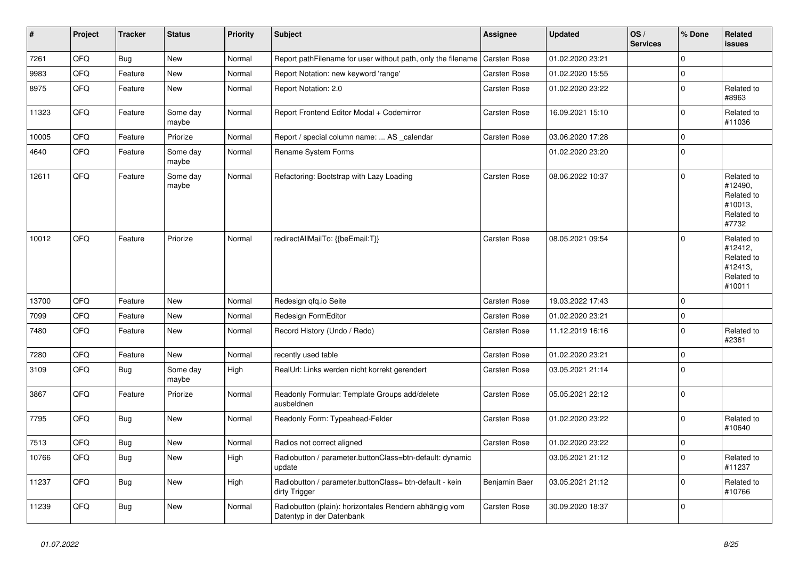| #     | Project | <b>Tracker</b> | <b>Status</b>     | <b>Priority</b> | <b>Subject</b>                                                                      | Assignee            | <b>Updated</b>   | OS/<br><b>Services</b> | % Done      | Related<br><b>issues</b>                                               |
|-------|---------|----------------|-------------------|-----------------|-------------------------------------------------------------------------------------|---------------------|------------------|------------------------|-------------|------------------------------------------------------------------------|
| 7261  | QFQ     | Bug            | <b>New</b>        | Normal          | Report pathFilename for user without path, only the filename                        | <b>Carsten Rose</b> | 01.02.2020 23:21 |                        | $\Omega$    |                                                                        |
| 9983  | QFQ     | Feature        | <b>New</b>        | Normal          | Report Notation: new keyword 'range'                                                | Carsten Rose        | 01.02.2020 15:55 |                        | $\mathbf 0$ |                                                                        |
| 8975  | QFQ     | Feature        | New               | Normal          | Report Notation: 2.0                                                                | Carsten Rose        | 01.02.2020 23:22 |                        | $\mathbf 0$ | Related to<br>#8963                                                    |
| 11323 | QFQ     | Feature        | Some day<br>maybe | Normal          | Report Frontend Editor Modal + Codemirror                                           | Carsten Rose        | 16.09.2021 15:10 |                        | $\Omega$    | Related to<br>#11036                                                   |
| 10005 | QFQ     | Feature        | Priorize          | Normal          | Report / special column name:  AS _calendar                                         | Carsten Rose        | 03.06.2020 17:28 |                        | $\mathbf 0$ |                                                                        |
| 4640  | QFQ     | Feature        | Some day<br>maybe | Normal          | Rename System Forms                                                                 |                     | 01.02.2020 23:20 |                        | $\Omega$    |                                                                        |
| 12611 | QFQ     | Feature        | Some day<br>maybe | Normal          | Refactoring: Bootstrap with Lazy Loading                                            | Carsten Rose        | 08.06.2022 10:37 |                        | $\Omega$    | Related to<br>#12490,<br>Related to<br>#10013,<br>Related to<br>#7732  |
| 10012 | QFQ     | Feature        | Priorize          | Normal          | redirectAllMailTo: {{beEmail:T}}                                                    | Carsten Rose        | 08.05.2021 09:54 |                        | $\Omega$    | Related to<br>#12412,<br>Related to<br>#12413,<br>Related to<br>#10011 |
| 13700 | QFQ     | Feature        | <b>New</b>        | Normal          | Redesign qfq.io Seite                                                               | Carsten Rose        | 19.03.2022 17:43 |                        | $\mathbf 0$ |                                                                        |
| 7099  | QFQ     | Feature        | <b>New</b>        | Normal          | Redesign FormEditor                                                                 | <b>Carsten Rose</b> | 01.02.2020 23:21 |                        | $\mathbf 0$ |                                                                        |
| 7480  | QFQ     | Feature        | <b>New</b>        | Normal          | Record History (Undo / Redo)                                                        | Carsten Rose        | 11.12.2019 16:16 |                        | $\mathbf 0$ | Related to<br>#2361                                                    |
| 7280  | QFQ     | Feature        | New               | Normal          | recently used table                                                                 | <b>Carsten Rose</b> | 01.02.2020 23:21 |                        | $\Omega$    |                                                                        |
| 3109  | QFQ     | <b>Bug</b>     | Some day<br>maybe | High            | RealUrl: Links werden nicht korrekt gerendert                                       | Carsten Rose        | 03.05.2021 21:14 |                        | $\Omega$    |                                                                        |
| 3867  | QFQ     | Feature        | Priorize          | Normal          | Readonly Formular: Template Groups add/delete<br>ausbeldnen                         | Carsten Rose        | 05.05.2021 22:12 |                        | $\mathbf 0$ |                                                                        |
| 7795  | QFQ     | Bug            | <b>New</b>        | Normal          | Readonly Form: Typeahead-Felder                                                     | Carsten Rose        | 01.02.2020 23:22 |                        | $\Omega$    | Related to<br>#10640                                                   |
| 7513  | QFQ     | <b>Bug</b>     | <b>New</b>        | Normal          | Radios not correct aligned                                                          | <b>Carsten Rose</b> | 01.02.2020 23:22 |                        | $\pmb{0}$   |                                                                        |
| 10766 | QFQ     | <b>Bug</b>     | <b>New</b>        | High            | Radiobutton / parameter.buttonClass=btn-default: dynamic<br>update                  |                     | 03.05.2021 21:12 |                        | $\Omega$    | Related to<br>#11237                                                   |
| 11237 | QFQ     | Bug            | <b>New</b>        | High            | Radiobutton / parameter.buttonClass= btn-default - kein<br>dirty Trigger            | Benjamin Baer       | 03.05.2021 21:12 |                        | $\Omega$    | Related to<br>#10766                                                   |
| 11239 | QFQ     | <b>Bug</b>     | <b>New</b>        | Normal          | Radiobutton (plain): horizontales Rendern abhängig vom<br>Datentyp in der Datenbank | Carsten Rose        | 30.09.2020 18:37 |                        | $\mathbf 0$ |                                                                        |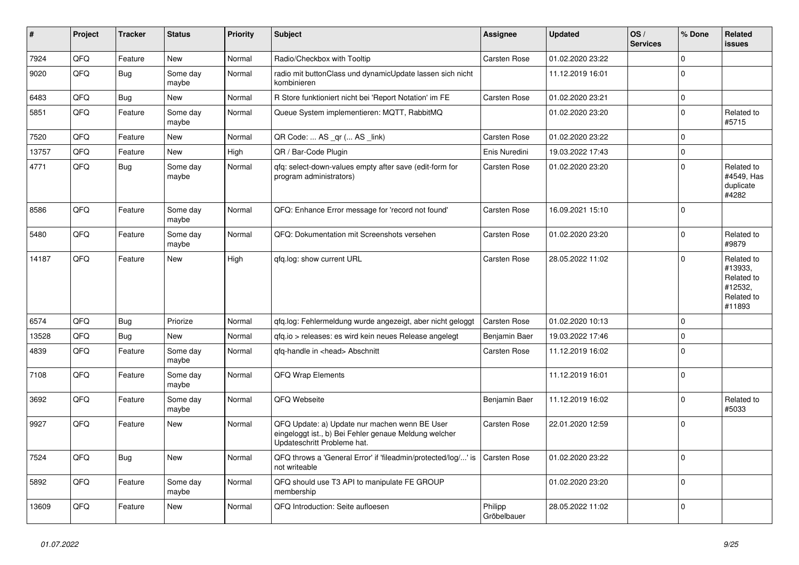| #     | Project | <b>Tracker</b> | <b>Status</b>     | <b>Priority</b> | <b>Subject</b>                                                                                                                        | Assignee               | <b>Updated</b>   | OS/<br><b>Services</b> | % Done      | Related<br><b>issues</b>                                               |
|-------|---------|----------------|-------------------|-----------------|---------------------------------------------------------------------------------------------------------------------------------------|------------------------|------------------|------------------------|-------------|------------------------------------------------------------------------|
| 7924  | QFQ     | Feature        | <b>New</b>        | Normal          | Radio/Checkbox with Tooltip                                                                                                           | Carsten Rose           | 01.02.2020 23:22 |                        | $\Omega$    |                                                                        |
| 9020  | QFQ     | Bug            | Some day<br>maybe | Normal          | radio mit buttonClass und dynamicUpdate lassen sich nicht<br>kombinieren                                                              |                        | 11.12.2019 16:01 |                        | $\Omega$    |                                                                        |
| 6483  | QFQ     | Bug            | <b>New</b>        | Normal          | R Store funktioniert nicht bei 'Report Notation' im FE                                                                                | Carsten Rose           | 01.02.2020 23:21 |                        | $\Omega$    |                                                                        |
| 5851  | QFQ     | Feature        | Some day<br>maybe | Normal          | Queue System implementieren: MQTT, RabbitMQ                                                                                           |                        | 01.02.2020 23:20 |                        | $\Omega$    | Related to<br>#5715                                                    |
| 7520  | QFQ     | Feature        | <b>New</b>        | Normal          | QR Code:  AS _qr ( AS _link)                                                                                                          | Carsten Rose           | 01.02.2020 23:22 |                        | $\Omega$    |                                                                        |
| 13757 | QFQ     | Feature        | <b>New</b>        | High            | QR / Bar-Code Plugin                                                                                                                  | Enis Nuredini          | 19.03.2022 17:43 |                        | $\Omega$    |                                                                        |
| 4771  | QFQ     | Bug            | Some day<br>maybe | Normal          | gfg: select-down-values empty after save (edit-form for<br>program administrators)                                                    | Carsten Rose           | 01.02.2020 23:20 |                        | $\Omega$    | Related to<br>#4549, Has<br>duplicate<br>#4282                         |
| 8586  | QFQ     | Feature        | Some day<br>maybe | Normal          | QFQ: Enhance Error message for 'record not found'                                                                                     | Carsten Rose           | 16.09.2021 15:10 |                        | $\Omega$    |                                                                        |
| 5480  | QFQ     | Feature        | Some day<br>maybe | Normal          | QFQ: Dokumentation mit Screenshots versehen                                                                                           | Carsten Rose           | 01.02.2020 23:20 |                        | $\Omega$    | Related to<br>#9879                                                    |
| 14187 | QFQ     | Feature        | <b>New</b>        | High            | qfq.log: show current URL                                                                                                             | Carsten Rose           | 28.05.2022 11:02 |                        | $\Omega$    | Related to<br>#13933.<br>Related to<br>#12532,<br>Related to<br>#11893 |
| 6574  | QFQ     | Bug            | Priorize          | Normal          | qfq.log: Fehlermeldung wurde angezeigt, aber nicht geloggt                                                                            | <b>Carsten Rose</b>    | 01.02.2020 10:13 |                        | $\mathbf 0$ |                                                                        |
| 13528 | QFQ     | <b>Bug</b>     | <b>New</b>        | Normal          | qfq.io > releases: es wird kein neues Release angelegt                                                                                | Benjamin Baer          | 19.03.2022 17:46 |                        | $\mathbf 0$ |                                                                        |
| 4839  | QFQ     | Feature        | Some day<br>maybe | Normal          | gfg-handle in <head> Abschnitt</head>                                                                                                 | Carsten Rose           | 11.12.2019 16:02 |                        | $\Omega$    |                                                                        |
| 7108  | QFQ     | Feature        | Some day<br>maybe | Normal          | <b>QFQ Wrap Elements</b>                                                                                                              |                        | 11.12.2019 16:01 |                        | $\Omega$    |                                                                        |
| 3692  | QFQ     | Feature        | Some day<br>maybe | Normal          | QFQ Webseite                                                                                                                          | Benjamin Baer          | 11.12.2019 16:02 |                        | $\mathbf 0$ | Related to<br>#5033                                                    |
| 9927  | QFQ     | Feature        | <b>New</b>        | Normal          | QFQ Update: a) Update nur machen wenn BE User<br>eingeloggt ist., b) Bei Fehler genaue Meldung welcher<br>Updateschritt Probleme hat. | <b>Carsten Rose</b>    | 22.01.2020 12:59 |                        | $\Omega$    |                                                                        |
| 7524  | QFQ     | <b>Bug</b>     | New               | Normal          | QFQ throws a 'General Error' if 'fileadmin/protected/log/' is<br>not writeable                                                        | Carsten Rose           | 01.02.2020 23:22 |                        | $\Omega$    |                                                                        |
| 5892  | QFQ     | Feature        | Some day<br>maybe | Normal          | QFQ should use T3 API to manipulate FE GROUP<br>membership                                                                            |                        | 01.02.2020 23:20 |                        | $\Omega$    |                                                                        |
| 13609 | QFQ     | Feature        | <b>New</b>        | Normal          | QFQ Introduction: Seite aufloesen                                                                                                     | Philipp<br>Gröbelbauer | 28.05.2022 11:02 |                        | $\mathbf 0$ |                                                                        |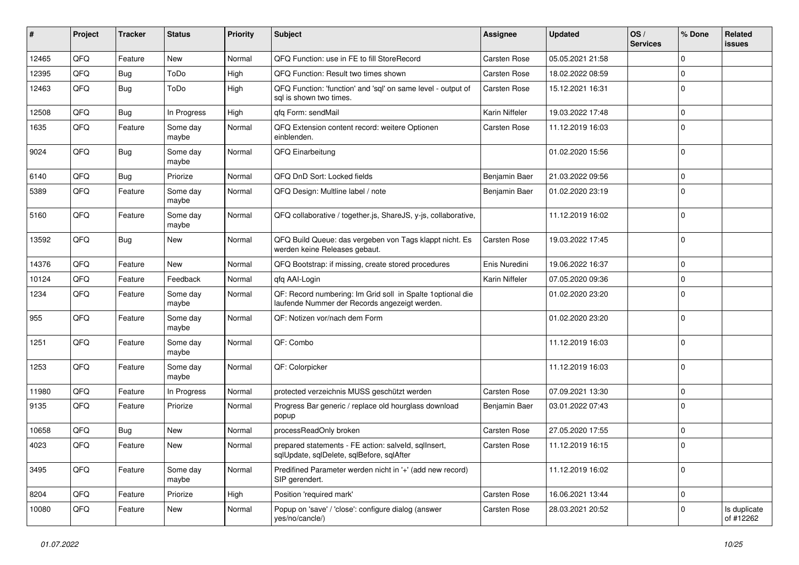| ∦     | Project | <b>Tracker</b> | <b>Status</b>     | <b>Priority</b> | <b>Subject</b>                                                                                               | <b>Assignee</b> | <b>Updated</b>   | OS/<br><b>Services</b> | % Done      | Related<br>issues         |
|-------|---------|----------------|-------------------|-----------------|--------------------------------------------------------------------------------------------------------------|-----------------|------------------|------------------------|-------------|---------------------------|
| 12465 | QFQ     | Feature        | New               | Normal          | QFQ Function: use in FE to fill StoreRecord                                                                  | Carsten Rose    | 05.05.2021 21:58 |                        | $\Omega$    |                           |
| 12395 | QFQ     | Bug            | ToDo              | High            | QFQ Function: Result two times shown                                                                         | Carsten Rose    | 18.02.2022 08:59 |                        | 0           |                           |
| 12463 | QFQ     | <b>Bug</b>     | ToDo              | High            | QFQ Function: 'function' and 'sql' on same level - output of<br>sal is shown two times.                      | Carsten Rose    | 15.12.2021 16:31 |                        | $\Omega$    |                           |
| 12508 | QFQ     | Bug            | In Progress       | High            | gfg Form: sendMail                                                                                           | Karin Niffeler  | 19.03.2022 17:48 |                        | $\Omega$    |                           |
| 1635  | QFQ     | Feature        | Some day<br>maybe | Normal          | QFQ Extension content record: weitere Optionen<br>einblenden.                                                | Carsten Rose    | 11.12.2019 16:03 |                        | $\Omega$    |                           |
| 9024  | QFQ     | <b>Bug</b>     | Some day<br>maybe | Normal          | QFQ Einarbeitung                                                                                             |                 | 01.02.2020 15:56 |                        | $\Omega$    |                           |
| 6140  | QFQ     | Bug            | Priorize          | Normal          | QFQ DnD Sort: Locked fields                                                                                  | Benjamin Baer   | 21.03.2022 09:56 |                        | $\mathbf 0$ |                           |
| 5389  | QFQ     | Feature        | Some day<br>maybe | Normal          | QFQ Design: Multline label / note                                                                            | Benjamin Baer   | 01.02.2020 23:19 |                        | $\Omega$    |                           |
| 5160  | QFQ     | Feature        | Some day<br>maybe | Normal          | QFQ collaborative / together.js, ShareJS, y-js, collaborative,                                               |                 | 11.12.2019 16:02 |                        | $\mathbf 0$ |                           |
| 13592 | QFQ     | Bug            | New               | Normal          | QFQ Build Queue: das vergeben von Tags klappt nicht. Es<br>werden keine Releases gebaut.                     | Carsten Rose    | 19.03.2022 17:45 |                        | $\mathbf 0$ |                           |
| 14376 | QFQ     | Feature        | New               | Normal          | QFQ Bootstrap: if missing, create stored procedures                                                          | Enis Nuredini   | 19.06.2022 16:37 |                        | $\mathbf 0$ |                           |
| 10124 | QFQ     | Feature        | Feedback          | Normal          | gfg AAI-Login                                                                                                | Karin Niffeler  | 07.05.2020 09:36 |                        | $\mathbf 0$ |                           |
| 1234  | QFQ     | Feature        | Some day<br>maybe | Normal          | QF: Record numbering: Im Grid soll in Spalte 1 optional die<br>laufende Nummer der Records angezeigt werden. |                 | 01.02.2020 23:20 |                        | $\Omega$    |                           |
| 955   | QFQ     | Feature        | Some day<br>maybe | Normal          | QF: Notizen vor/nach dem Form                                                                                |                 | 01.02.2020 23:20 |                        | $\mathbf 0$ |                           |
| 1251  | QFQ     | Feature        | Some day<br>maybe | Normal          | QF: Combo                                                                                                    |                 | 11.12.2019 16:03 |                        | $\mathbf 0$ |                           |
| 1253  | QFQ     | Feature        | Some day<br>maybe | Normal          | QF: Colorpicker                                                                                              |                 | 11.12.2019 16:03 |                        | $\mathbf 0$ |                           |
| 11980 | QFQ     | Feature        | In Progress       | Normal          | protected verzeichnis MUSS geschützt werden                                                                  | Carsten Rose    | 07.09.2021 13:30 |                        | 0           |                           |
| 9135  | QFQ     | Feature        | Priorize          | Normal          | Progress Bar generic / replace old hourglass download<br>popup                                               | Benjamin Baer   | 03.01.2022 07:43 |                        | $\Omega$    |                           |
| 10658 | QFQ     | Bug            | <b>New</b>        | Normal          | processReadOnly broken                                                                                       | Carsten Rose    | 27.05.2020 17:55 |                        | $\Omega$    |                           |
| 4023  | QFQ     | Feature        | New               | Normal          | prepared statements - FE action: salveld, sglInsert,<br>sqlUpdate, sqlDelete, sqlBefore, sqlAfter            | Carsten Rose    | 11.12.2019 16:15 |                        | $\mathbf 0$ |                           |
| 3495  | QFQ     | Feature        | Some day<br>maybe | Normal          | Predifined Parameter werden nicht in '+' (add new record)<br>SIP gerendert.                                  |                 | 11.12.2019 16:02 |                        | $\mathbf 0$ |                           |
| 8204  | QFQ     | Feature        | Priorize          | High            | Position 'required mark'                                                                                     | Carsten Rose    | 16.06.2021 13:44 |                        | $\mathbf 0$ |                           |
| 10080 | QFQ     | Feature        | New               | Normal          | Popup on 'save' / 'close': configure dialog (answer<br>yes/no/cancle/)                                       | Carsten Rose    | 28.03.2021 20:52 |                        | $\mathbf 0$ | Is duplicate<br>of #12262 |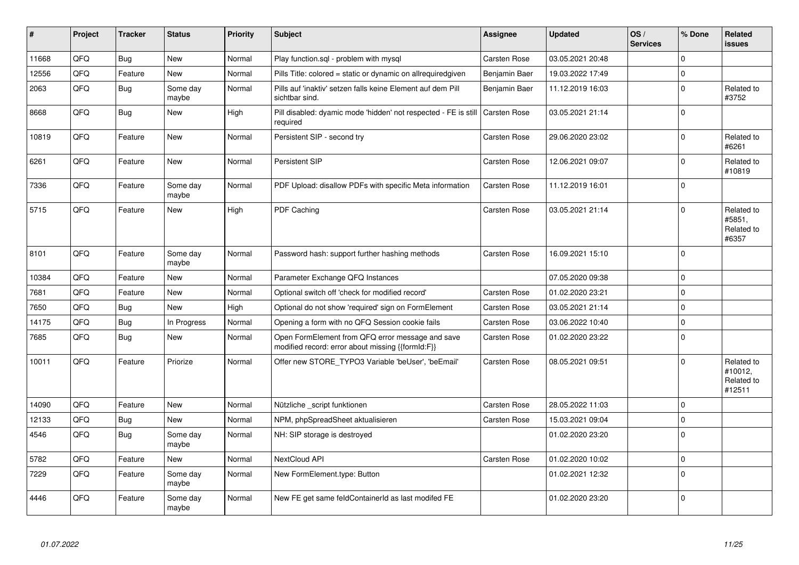| #     | Project | <b>Tracker</b> | <b>Status</b>     | <b>Priority</b> | <b>Subject</b>                                                                                        | Assignee            | <b>Updated</b>   | OS/<br><b>Services</b> | % Done      | Related<br><b>issues</b>                      |
|-------|---------|----------------|-------------------|-----------------|-------------------------------------------------------------------------------------------------------|---------------------|------------------|------------------------|-------------|-----------------------------------------------|
| 11668 | QFQ     | <b>Bug</b>     | New               | Normal          | Play function.sql - problem with mysql                                                                | Carsten Rose        | 03.05.2021 20:48 |                        | $\mathbf 0$ |                                               |
| 12556 | QFQ     | Feature        | New               | Normal          | Pills Title: colored = static or dynamic on allrequiredgiven                                          | Benjamin Baer       | 19.03.2022 17:49 |                        | $\mathbf 0$ |                                               |
| 2063  | QFQ     | <b>Bug</b>     | Some day<br>maybe | Normal          | Pills auf 'inaktiv' setzen falls keine Element auf dem Pill<br>sichtbar sind.                         | Benjamin Baer       | 11.12.2019 16:03 |                        | $\mathbf 0$ | Related to<br>#3752                           |
| 8668  | QFQ     | <b>Bug</b>     | New               | High            | Pill disabled: dyamic mode 'hidden' not respected - FE is still<br>required                           | <b>Carsten Rose</b> | 03.05.2021 21:14 |                        | $\pmb{0}$   |                                               |
| 10819 | QFQ     | Feature        | New               | Normal          | Persistent SIP - second try                                                                           | Carsten Rose        | 29.06.2020 23:02 |                        | $\mathbf 0$ | Related to<br>#6261                           |
| 6261  | QFQ     | Feature        | New               | Normal          | Persistent SIP                                                                                        | Carsten Rose        | 12.06.2021 09:07 |                        | $\mathbf 0$ | Related to<br>#10819                          |
| 7336  | QFQ     | Feature        | Some day<br>maybe | Normal          | PDF Upload: disallow PDFs with specific Meta information                                              | Carsten Rose        | 11.12.2019 16:01 |                        | $\mathbf 0$ |                                               |
| 5715  | QFQ     | Feature        | <b>New</b>        | High            | PDF Caching                                                                                           | Carsten Rose        | 03.05.2021 21:14 |                        | $\mathbf 0$ | Related to<br>#5851.<br>Related to<br>#6357   |
| 8101  | QFQ     | Feature        | Some day<br>maybe | Normal          | Password hash: support further hashing methods                                                        | Carsten Rose        | 16.09.2021 15:10 |                        | $\mathbf 0$ |                                               |
| 10384 | QFQ     | Feature        | New               | Normal          | Parameter Exchange QFQ Instances                                                                      |                     | 07.05.2020 09:38 |                        | $\pmb{0}$   |                                               |
| 7681  | QFQ     | Feature        | New               | Normal          | Optional switch off 'check for modified record'                                                       | <b>Carsten Rose</b> | 01.02.2020 23:21 |                        | $\mathbf 0$ |                                               |
| 7650  | QFQ     | Bug            | New               | High            | Optional do not show 'required' sign on FormElement                                                   | Carsten Rose        | 03.05.2021 21:14 |                        | $\mathbf 0$ |                                               |
| 14175 | QFQ     | Bug            | In Progress       | Normal          | Opening a form with no QFQ Session cookie fails                                                       | <b>Carsten Rose</b> | 03.06.2022 10:40 |                        | $\mathbf 0$ |                                               |
| 7685  | QFQ     | <b>Bug</b>     | New               | Normal          | Open FormElement from QFQ error message and save<br>modified record: error about missing {{formId:F}} | Carsten Rose        | 01.02.2020 23:22 |                        | $\mathbf 0$ |                                               |
| 10011 | QFQ     | Feature        | Priorize          | Normal          | Offer new STORE TYPO3 Variable 'beUser', 'beEmail'                                                    | Carsten Rose        | 08.05.2021 09:51 |                        | $\Omega$    | Related to<br>#10012,<br>Related to<br>#12511 |
| 14090 | QFQ     | Feature        | <b>New</b>        | Normal          | Nützliche script funktionen                                                                           | Carsten Rose        | 28.05.2022 11:03 |                        | $\Omega$    |                                               |
| 12133 | QFQ     | <b>Bug</b>     | New               | Normal          | NPM, phpSpreadSheet aktualisieren                                                                     | <b>Carsten Rose</b> | 15.03.2021 09:04 |                        | $\mathbf 0$ |                                               |
| 4546  | QFQ     | <b>Bug</b>     | Some day<br>maybe | Normal          | NH: SIP storage is destroyed                                                                          |                     | 01.02.2020 23:20 |                        | $\Omega$    |                                               |
| 5782  | QFQ     | Feature        | <b>New</b>        | Normal          | NextCloud API                                                                                         | Carsten Rose        | 01.02.2020 10:02 |                        | $\mathbf 0$ |                                               |
| 7229  | QFQ     | Feature        | Some day<br>maybe | Normal          | New FormElement.type: Button                                                                          |                     | 01.02.2021 12:32 |                        | $\mathbf 0$ |                                               |
| 4446  | QFQ     | Feature        | Some day<br>maybe | Normal          | New FE get same feldContainerId as last modifed FE                                                    |                     | 01.02.2020 23:20 |                        | $\Omega$    |                                               |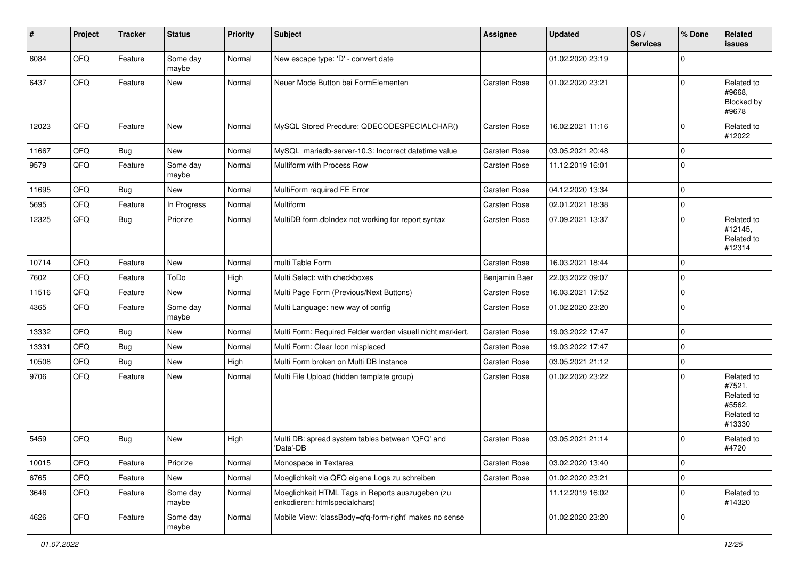| $\sharp$ | Project | <b>Tracker</b> | <b>Status</b>     | <b>Priority</b> | <b>Subject</b>                                                                    | <b>Assignee</b>     | <b>Updated</b>   | OS/<br><b>Services</b> | % Done      | Related<br><b>issues</b>                                             |
|----------|---------|----------------|-------------------|-----------------|-----------------------------------------------------------------------------------|---------------------|------------------|------------------------|-------------|----------------------------------------------------------------------|
| 6084     | QFQ     | Feature        | Some day<br>maybe | Normal          | New escape type: 'D' - convert date                                               |                     | 01.02.2020 23:19 |                        | $\Omega$    |                                                                      |
| 6437     | QFQ     | Feature        | New               | Normal          | Neuer Mode Button bei FormElementen                                               | Carsten Rose        | 01.02.2020 23:21 |                        | $\Omega$    | Related to<br>#9668,<br>Blocked by<br>#9678                          |
| 12023    | QFQ     | Feature        | New               | Normal          | MySQL Stored Precdure: QDECODESPECIALCHAR()                                       | Carsten Rose        | 16.02.2021 11:16 |                        | $\Omega$    | Related to<br>#12022                                                 |
| 11667    | QFQ     | Bug            | New               | Normal          | MySQL mariadb-server-10.3: Incorrect datetime value                               | Carsten Rose        | 03.05.2021 20:48 |                        | $\mathbf 0$ |                                                                      |
| 9579     | QFQ     | Feature        | Some day<br>maybe | Normal          | Multiform with Process Row                                                        | Carsten Rose        | 11.12.2019 16:01 |                        | $\mathbf 0$ |                                                                      |
| 11695    | QFQ     | <b>Bug</b>     | New               | Normal          | MultiForm required FE Error                                                       | Carsten Rose        | 04.12.2020 13:34 |                        | $\mathbf 0$ |                                                                      |
| 5695     | QFQ     | Feature        | In Progress       | Normal          | <b>Multiform</b>                                                                  | Carsten Rose        | 02.01.2021 18:38 |                        | $\mathbf 0$ |                                                                      |
| 12325    | QFQ     | Bug            | Priorize          | Normal          | MultiDB form.dblndex not working for report syntax                                | Carsten Rose        | 07.09.2021 13:37 |                        | $\Omega$    | Related to<br>#12145,<br>Related to<br>#12314                        |
| 10714    | QFQ     | Feature        | New               | Normal          | multi Table Form                                                                  | Carsten Rose        | 16.03.2021 18:44 |                        | $\mathbf 0$ |                                                                      |
| 7602     | QFQ     | Feature        | ToDo              | High            | Multi Select: with checkboxes                                                     | Benjamin Baer       | 22.03.2022 09:07 |                        | $\Omega$    |                                                                      |
| 11516    | QFQ     | Feature        | New               | Normal          | Multi Page Form (Previous/Next Buttons)                                           | <b>Carsten Rose</b> | 16.03.2021 17:52 |                        | $\mathbf 0$ |                                                                      |
| 4365     | QFQ     | Feature        | Some day<br>maybe | Normal          | Multi Language: new way of config                                                 | Carsten Rose        | 01.02.2020 23:20 |                        | $\mathbf 0$ |                                                                      |
| 13332    | QFQ     | Bug            | New               | Normal          | Multi Form: Required Felder werden visuell nicht markiert.                        | Carsten Rose        | 19.03.2022 17:47 |                        | $\mathbf 0$ |                                                                      |
| 13331    | QFQ     | Bug            | New               | Normal          | Multi Form: Clear Icon misplaced                                                  | Carsten Rose        | 19.03.2022 17:47 |                        | $\mathbf 0$ |                                                                      |
| 10508    | QFQ     | <b>Bug</b>     | New               | High            | Multi Form broken on Multi DB Instance                                            | Carsten Rose        | 03.05.2021 21:12 |                        | $\mathbf 0$ |                                                                      |
| 9706     | QFQ     | Feature        | New               | Normal          | Multi File Upload (hidden template group)                                         | Carsten Rose        | 01.02.2020 23:22 |                        | $\Omega$    | Related to<br>#7521,<br>Related to<br>#5562,<br>Related to<br>#13330 |
| 5459     | QFQ     | Bug            | New               | High            | Multi DB: spread system tables between 'QFQ' and<br>'Data'-DB                     | Carsten Rose        | 03.05.2021 21:14 |                        | $\Omega$    | Related to<br>#4720                                                  |
| 10015    | QFQ     | Feature        | Priorize          | Normal          | Monospace in Textarea                                                             | Carsten Rose        | 03.02.2020 13:40 |                        | 0           |                                                                      |
| 6765     | QFQ     | Feature        | New               | Normal          | Moeglichkeit via QFQ eigene Logs zu schreiben                                     | Carsten Rose        | 01.02.2020 23:21 |                        | $\mathbf 0$ |                                                                      |
| 3646     | QFQ     | Feature        | Some day<br>maybe | Normal          | Moeglichkeit HTML Tags in Reports auszugeben (zu<br>enkodieren: htmlspecialchars) |                     | 11.12.2019 16:02 |                        | $\mathbf 0$ | Related to<br>#14320                                                 |
| 4626     | QFQ     | Feature        | Some day<br>maybe | Normal          | Mobile View: 'classBody=qfq-form-right' makes no sense                            |                     | 01.02.2020 23:20 |                        | 0           |                                                                      |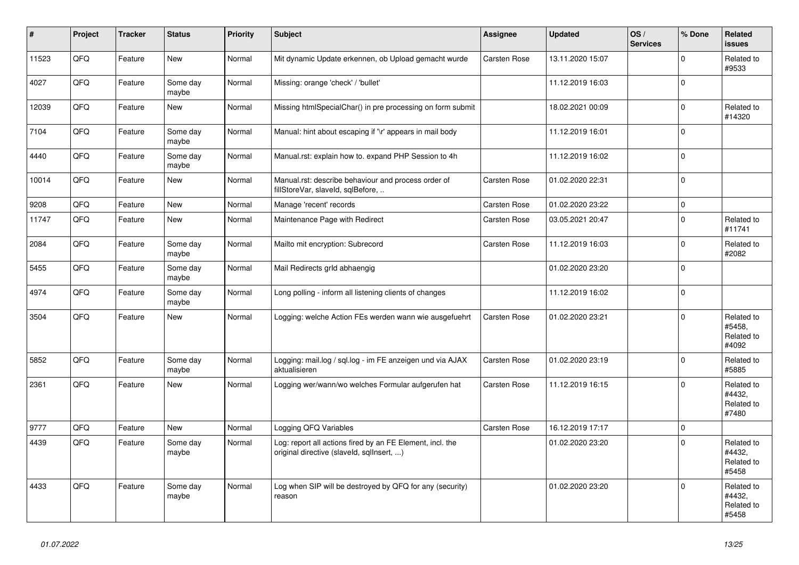| #     | Project | <b>Tracker</b> | <b>Status</b>     | <b>Priority</b> | <b>Subject</b>                                                                                         | Assignee            | <b>Updated</b>   | OS/<br><b>Services</b> | % Done              | Related<br><b>issues</b>                    |
|-------|---------|----------------|-------------------|-----------------|--------------------------------------------------------------------------------------------------------|---------------------|------------------|------------------------|---------------------|---------------------------------------------|
| 11523 | QFQ     | Feature        | <b>New</b>        | Normal          | Mit dynamic Update erkennen, ob Upload gemacht wurde                                                   | Carsten Rose        | 13.11.2020 15:07 |                        | $\Omega$            | Related to<br>#9533                         |
| 4027  | QFQ     | Feature        | Some day<br>maybe | Normal          | Missing: orange 'check' / 'bullet'                                                                     |                     | 11.12.2019 16:03 |                        | $\mathsf 0$         |                                             |
| 12039 | QFQ     | Feature        | New               | Normal          | Missing htmlSpecialChar() in pre processing on form submit                                             |                     | 18.02.2021 00:09 |                        | $\mathbf 0$         | Related to<br>#14320                        |
| 7104  | QFQ     | Feature        | Some day<br>maybe | Normal          | Manual: hint about escaping if '\r' appears in mail body                                               |                     | 11.12.2019 16:01 |                        | $\Omega$            |                                             |
| 4440  | QFQ     | Feature        | Some day<br>maybe | Normal          | Manual.rst: explain how to. expand PHP Session to 4h                                                   |                     | 11.12.2019 16:02 |                        | $\mathbf 0$         |                                             |
| 10014 | QFQ     | Feature        | New               | Normal          | Manual.rst: describe behaviour and process order of<br>fillStoreVar, slaveId, sqlBefore,               | Carsten Rose        | 01.02.2020 22:31 |                        | $\Omega$            |                                             |
| 9208  | QFQ     | Feature        | <b>New</b>        | Normal          | Manage 'recent' records                                                                                | <b>Carsten Rose</b> | 01.02.2020 23:22 |                        | $\mathsf 0$         |                                             |
| 11747 | QFQ     | Feature        | New               | Normal          | Maintenance Page with Redirect                                                                         | Carsten Rose        | 03.05.2021 20:47 |                        | $\mathbf 0$         | Related to<br>#11741                        |
| 2084  | QFQ     | Feature        | Some day<br>maybe | Normal          | Mailto mit encryption: Subrecord                                                                       | Carsten Rose        | 11.12.2019 16:03 |                        | $\Omega$            | Related to<br>#2082                         |
| 5455  | QFQ     | Feature        | Some day<br>maybe | Normal          | Mail Redirects grld abhaengig                                                                          |                     | 01.02.2020 23:20 |                        | $\mathsf 0$         |                                             |
| 4974  | QFQ     | Feature        | Some day<br>maybe | Normal          | Long polling - inform all listening clients of changes                                                 |                     | 11.12.2019 16:02 |                        | $\mathsf{O}\xspace$ |                                             |
| 3504  | QFQ     | Feature        | <b>New</b>        | Normal          | Logging: welche Action FEs werden wann wie ausgefuehrt                                                 | <b>Carsten Rose</b> | 01.02.2020 23:21 |                        | $\Omega$            | Related to<br>#5458.<br>Related to<br>#4092 |
| 5852  | QFQ     | Feature        | Some day<br>maybe | Normal          | Logging: mail.log / sql.log - im FE anzeigen und via AJAX<br>aktualisieren                             | <b>Carsten Rose</b> | 01.02.2020 23:19 |                        | $\mathbf 0$         | Related to<br>#5885                         |
| 2361  | QFQ     | Feature        | <b>New</b>        | Normal          | Logging wer/wann/wo welches Formular aufgerufen hat                                                    | Carsten Rose        | 11.12.2019 16:15 |                        | $\Omega$            | Related to<br>#4432.<br>Related to<br>#7480 |
| 9777  | QFQ     | Feature        | <b>New</b>        | Normal          | Logging QFQ Variables                                                                                  | Carsten Rose        | 16.12.2019 17:17 |                        | $\mathsf 0$         |                                             |
| 4439  | QFQ     | Feature        | Some day<br>maybe | Normal          | Log: report all actions fired by an FE Element, incl. the<br>original directive (slaveld, sqlInsert, ) |                     | 01.02.2020 23:20 |                        | $\mathbf 0$         | Related to<br>#4432,<br>Related to<br>#5458 |
| 4433  | QFQ     | Feature        | Some day<br>maybe | Normal          | Log when SIP will be destroyed by QFQ for any (security)<br>reason                                     |                     | 01.02.2020 23:20 |                        | $\mathbf 0$         | Related to<br>#4432,<br>Related to<br>#5458 |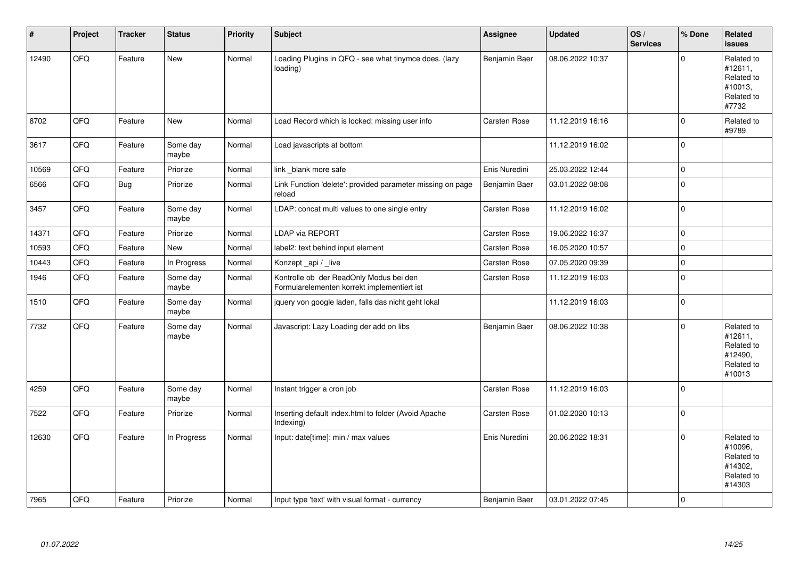| #     | Project | <b>Tracker</b> | <b>Status</b>     | <b>Priority</b> | <b>Subject</b>                                                                         | Assignee      | <b>Updated</b>   | OS/<br><b>Services</b> | % Done      | Related<br>issues                                                      |
|-------|---------|----------------|-------------------|-----------------|----------------------------------------------------------------------------------------|---------------|------------------|------------------------|-------------|------------------------------------------------------------------------|
| 12490 | QFQ     | Feature        | New               | Normal          | Loading Plugins in QFQ - see what tinymce does. (lazy<br>loading)                      | Benjamin Baer | 08.06.2022 10:37 |                        | $\Omega$    | Related to<br>#12611,<br>Related to<br>#10013,<br>Related to<br>#7732  |
| 8702  | QFQ     | Feature        | New               | Normal          | Load Record which is locked: missing user info                                         | Carsten Rose  | 11.12.2019 16:16 |                        | $\Omega$    | Related to<br>#9789                                                    |
| 3617  | QFQ     | Feature        | Some day<br>maybe | Normal          | Load javascripts at bottom                                                             |               | 11.12.2019 16:02 |                        | $\mathbf 0$ |                                                                        |
| 10569 | QFQ     | Feature        | Priorize          | Normal          | link blank more safe                                                                   | Enis Nuredini | 25.03.2022 12:44 |                        | $\mathbf 0$ |                                                                        |
| 6566  | QFQ     | <b>Bug</b>     | Priorize          | Normal          | Link Function 'delete': provided parameter missing on page<br>reload                   | Benjamin Baer | 03.01.2022 08:08 |                        | $\mathbf 0$ |                                                                        |
| 3457  | QFQ     | Feature        | Some day<br>maybe | Normal          | LDAP: concat multi values to one single entry                                          | Carsten Rose  | 11.12.2019 16:02 |                        | $\mathbf 0$ |                                                                        |
| 14371 | QFQ     | Feature        | Priorize          | Normal          | LDAP via REPORT                                                                        | Carsten Rose  | 19.06.2022 16:37 |                        | $\Omega$    |                                                                        |
| 10593 | QFQ     | Feature        | New               | Normal          | label2: text behind input element                                                      | Carsten Rose  | 16.05.2020 10:57 |                        | $\mathbf 0$ |                                                                        |
| 10443 | QFQ     | Feature        | In Progress       | Normal          | Konzept api / live                                                                     | Carsten Rose  | 07.05.2020 09:39 |                        | $\mathbf 0$ |                                                                        |
| 1946  | QFQ     | Feature        | Some day<br>maybe | Normal          | Kontrolle ob der ReadOnly Modus bei den<br>Formularelementen korrekt implementiert ist | Carsten Rose  | 11.12.2019 16:03 |                        | $\Omega$    |                                                                        |
| 1510  | QFQ     | Feature        | Some day<br>maybe | Normal          | jquery von google laden, falls das nicht geht lokal                                    |               | 11.12.2019 16:03 |                        | $\mathbf 0$ |                                                                        |
| 7732  | QFQ     | Feature        | Some day<br>maybe | Normal          | Javascript: Lazy Loading der add on libs                                               | Benjamin Baer | 08.06.2022 10:38 |                        | $\Omega$    | Related to<br>#12611,<br>Related to<br>#12490,<br>Related to<br>#10013 |
| 4259  | QFQ     | Feature        | Some day<br>maybe | Normal          | Instant trigger a cron job                                                             | Carsten Rose  | 11.12.2019 16:03 |                        | $\mathbf 0$ |                                                                        |
| 7522  | QFQ     | Feature        | Priorize          | Normal          | Inserting default index.html to folder (Avoid Apache<br>Indexing)                      | Carsten Rose  | 01.02.2020 10:13 |                        | $\Omega$    |                                                                        |
| 12630 | QFQ     | Feature        | In Progress       | Normal          | Input: date[time]: min / max values                                                    | Enis Nuredini | 20.06.2022 18:31 |                        | $\Omega$    | Related to<br>#10096,<br>Related to<br>#14302.<br>Related to<br>#14303 |
| 7965  | QFQ     | Feature        | Priorize          | Normal          | Input type 'text' with visual format - currency                                        | Benjamin Baer | 03.01.2022 07:45 |                        | $\mathbf 0$ |                                                                        |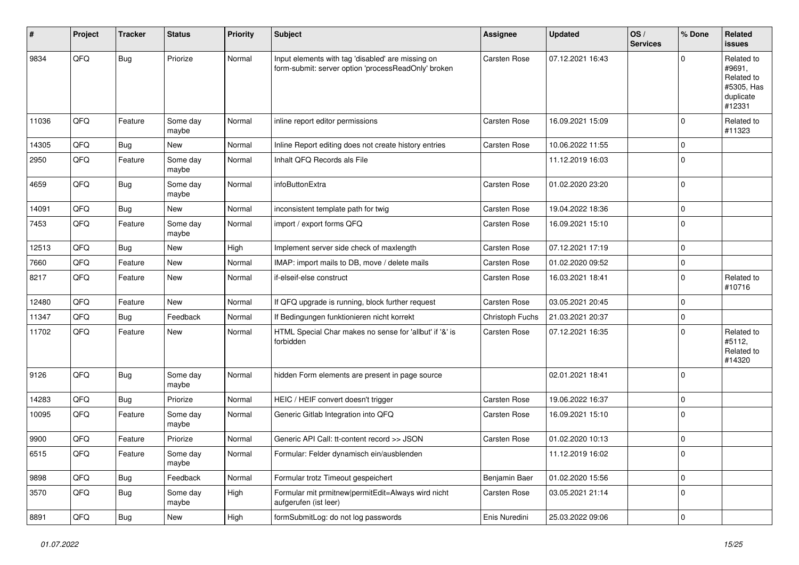| #     | Project | <b>Tracker</b> | <b>Status</b>     | <b>Priority</b> | Subject                                                                                                  | <b>Assignee</b>     | <b>Updated</b>   | OS/<br><b>Services</b> | % Done      | Related<br>issues                                                       |
|-------|---------|----------------|-------------------|-----------------|----------------------------------------------------------------------------------------------------------|---------------------|------------------|------------------------|-------------|-------------------------------------------------------------------------|
| 9834  | QFQ     | <b>Bug</b>     | Priorize          | Normal          | Input elements with tag 'disabled' are missing on<br>form-submit: server option 'processReadOnly' broken | <b>Carsten Rose</b> | 07.12.2021 16:43 |                        | $\Omega$    | Related to<br>#9691,<br>Related to<br>#5305, Has<br>duplicate<br>#12331 |
| 11036 | QFQ     | Feature        | Some day<br>maybe | Normal          | inline report editor permissions                                                                         | Carsten Rose        | 16.09.2021 15:09 |                        | $\mathbf 0$ | Related to<br>#11323                                                    |
| 14305 | QFQ     | Bug            | New               | Normal          | Inline Report editing does not create history entries                                                    | Carsten Rose        | 10.06.2022 11:55 |                        | $\mathbf 0$ |                                                                         |
| 2950  | QFQ     | Feature        | Some day<br>maybe | Normal          | Inhalt QFQ Records als File                                                                              |                     | 11.12.2019 16:03 |                        | $\Omega$    |                                                                         |
| 4659  | QFQ     | Bug            | Some day<br>maybe | Normal          | infoButtonExtra                                                                                          | Carsten Rose        | 01.02.2020 23:20 |                        | $\mathbf 0$ |                                                                         |
| 14091 | QFQ     | Bug            | New               | Normal          | inconsistent template path for twig                                                                      | Carsten Rose        | 19.04.2022 18:36 |                        | $\Omega$    |                                                                         |
| 7453  | QFQ     | Feature        | Some day<br>maybe | Normal          | import / export forms QFQ                                                                                | Carsten Rose        | 16.09.2021 15:10 |                        | $\Omega$    |                                                                         |
| 12513 | QFQ     | Bug            | New               | High            | Implement server side check of maxlength                                                                 | Carsten Rose        | 07.12.2021 17:19 |                        | $\Omega$    |                                                                         |
| 7660  | QFQ     | Feature        | New               | Normal          | IMAP: import mails to DB, move / delete mails                                                            | Carsten Rose        | 01.02.2020 09:52 |                        | $\mathbf 0$ |                                                                         |
| 8217  | QFQ     | Feature        | New               | Normal          | if-elseif-else construct                                                                                 | Carsten Rose        | 16.03.2021 18:41 |                        | $\Omega$    | Related to<br>#10716                                                    |
| 12480 | QFQ     | Feature        | New               | Normal          | If QFQ upgrade is running, block further request                                                         | Carsten Rose        | 03.05.2021 20:45 |                        | $\mathbf 0$ |                                                                         |
| 11347 | QFQ     | Bug            | Feedback          | Normal          | If Bedingungen funktionieren nicht korrekt                                                               | Christoph Fuchs     | 21.03.2021 20:37 |                        | $\Omega$    |                                                                         |
| 11702 | QFQ     | Feature        | New               | Normal          | HTML Special Char makes no sense for 'allbut' if '&' is<br>forbidden                                     | Carsten Rose        | 07.12.2021 16:35 |                        | $\Omega$    | Related to<br>#5112,<br>Related to<br>#14320                            |
| 9126  | QFQ     | <b>Bug</b>     | Some day<br>maybe | Normal          | hidden Form elements are present in page source                                                          |                     | 02.01.2021 18:41 |                        | $\Omega$    |                                                                         |
| 14283 | QFQ     | Bug            | Priorize          | Normal          | HEIC / HEIF convert doesn't trigger                                                                      | Carsten Rose        | 19.06.2022 16:37 |                        | $\mathbf 0$ |                                                                         |
| 10095 | QFQ     | Feature        | Some day<br>maybe | Normal          | Generic Gitlab Integration into QFQ                                                                      | Carsten Rose        | 16.09.2021 15:10 |                        | $\Omega$    |                                                                         |
| 9900  | QFQ     | Feature        | Priorize          | Normal          | Generic API Call: tt-content record >> JSON                                                              | Carsten Rose        | 01.02.2020 10:13 |                        | $\mathbf 0$ |                                                                         |
| 6515  | QFQ     | Feature        | Some day<br>maybe | Normal          | Formular: Felder dynamisch ein/ausblenden                                                                |                     | 11.12.2019 16:02 |                        | O           |                                                                         |
| 9898  | QFQ     | <b>Bug</b>     | Feedback          | Normal          | Formular trotz Timeout gespeichert                                                                       | Benjamin Baer       | 01.02.2020 15:56 |                        | 0           |                                                                         |
| 3570  | QFQ     | <b>Bug</b>     | Some day<br>maybe | High            | Formular mit prmitnew permitEdit=Always wird nicht<br>aufgerufen (ist leer)                              | Carsten Rose        | 03.05.2021 21:14 |                        | $\mathbf 0$ |                                                                         |
| 8891  | QFQ     | Bug            | New               | High            | formSubmitLog: do not log passwords                                                                      | Enis Nuredini       | 25.03.2022 09:06 |                        | 0           |                                                                         |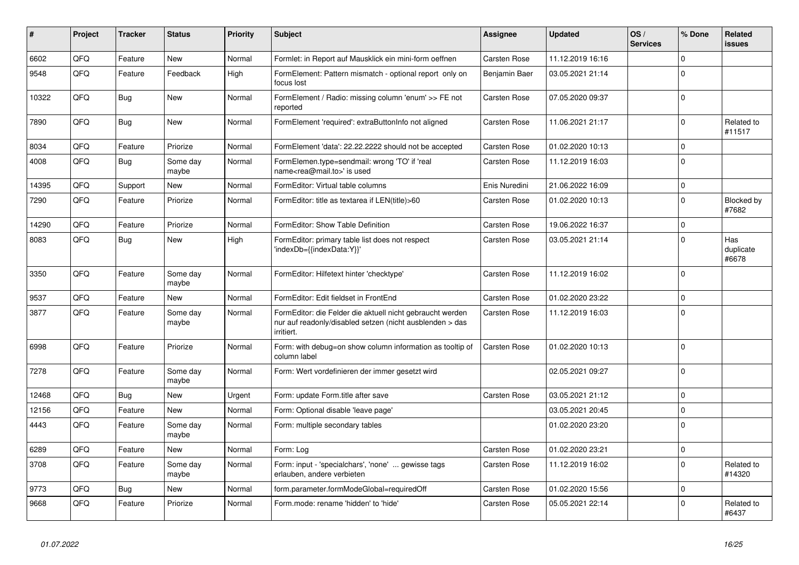| #     | Project | <b>Tracker</b> | <b>Status</b>     | <b>Priority</b> | <b>Subject</b>                                                                                                                      | Assignee            | <b>Updated</b>   | OS/<br><b>Services</b> | % Done      | Related<br>issues         |
|-------|---------|----------------|-------------------|-----------------|-------------------------------------------------------------------------------------------------------------------------------------|---------------------|------------------|------------------------|-------------|---------------------------|
| 6602  | QFQ     | Feature        | <b>New</b>        | Normal          | Formlet: in Report auf Mausklick ein mini-form oeffnen                                                                              | Carsten Rose        | 11.12.2019 16:16 |                        | $\Omega$    |                           |
| 9548  | QFQ     | Feature        | Feedback          | High            | FormElement: Pattern mismatch - optional report only on<br>focus lost                                                               | Benjamin Baer       | 03.05.2021 21:14 |                        | $\Omega$    |                           |
| 10322 | QFQ     | Bug            | <b>New</b>        | Normal          | FormElement / Radio: missing column 'enum' >> FE not<br>reported                                                                    | Carsten Rose        | 07.05.2020 09:37 |                        | $\Omega$    |                           |
| 7890  | QFQ     | Bug            | <b>New</b>        | Normal          | FormElement 'required': extraButtonInfo not aligned                                                                                 | <b>Carsten Rose</b> | 11.06.2021 21:17 |                        | $\Omega$    | Related to<br>#11517      |
| 8034  | QFQ     | Feature        | Priorize          | Normal          | FormElement 'data': 22.22.2222 should not be accepted                                                                               | Carsten Rose        | 01.02.2020 10:13 |                        | $\mathbf 0$ |                           |
| 4008  | QFQ     | <b>Bug</b>     | Some day<br>maybe | Normal          | FormElemen.type=sendmail: wrong 'TO' if 'real<br>name <rea@mail.to>' is used</rea@mail.to>                                          | Carsten Rose        | 11.12.2019 16:03 |                        | $\Omega$    |                           |
| 14395 | QFQ     | Support        | New               | Normal          | FormEditor: Virtual table columns                                                                                                   | Enis Nuredini       | 21.06.2022 16:09 |                        | $\Omega$    |                           |
| 7290  | QFQ     | Feature        | Priorize          | Normal          | FormEditor: title as textarea if LEN(title)>60                                                                                      | Carsten Rose        | 01.02.2020 10:13 |                        | $\Omega$    | Blocked by<br>#7682       |
| 14290 | QFQ     | Feature        | Priorize          | Normal          | FormEditor: Show Table Definition                                                                                                   | Carsten Rose        | 19.06.2022 16:37 |                        | $\Omega$    |                           |
| 8083  | QFQ     | <b>Bug</b>     | <b>New</b>        | High            | FormEditor: primary table list does not respect<br>'indexDb={{indexData:Y}}'                                                        | Carsten Rose        | 03.05.2021 21:14 |                        | $\Omega$    | Has<br>duplicate<br>#6678 |
| 3350  | QFQ     | Feature        | Some day<br>maybe | Normal          | FormEditor: Hilfetext hinter 'checktype'                                                                                            | Carsten Rose        | 11.12.2019 16:02 |                        | $\Omega$    |                           |
| 9537  | QFQ     | Feature        | <b>New</b>        | Normal          | FormEditor: Edit fieldset in FrontEnd                                                                                               | Carsten Rose        | 01.02.2020 23:22 |                        | $\Omega$    |                           |
| 3877  | QFQ     | Feature        | Some day<br>maybe | Normal          | FormEditor: die Felder die aktuell nicht gebraucht werden<br>nur auf readonly/disabled setzen (nicht ausblenden > das<br>irritiert. | Carsten Rose        | 11.12.2019 16:03 |                        | $\Omega$    |                           |
| 6998  | QFQ     | Feature        | Priorize          | Normal          | Form: with debug=on show column information as tooltip of<br>column label                                                           | <b>Carsten Rose</b> | 01.02.2020 10:13 |                        | $\Omega$    |                           |
| 7278  | QFQ     | Feature        | Some day<br>maybe | Normal          | Form: Wert vordefinieren der immer gesetzt wird                                                                                     |                     | 02.05.2021 09:27 |                        | $\Omega$    |                           |
| 12468 | QFQ     | Bug            | <b>New</b>        | Urgent          | Form: update Form.title after save                                                                                                  | <b>Carsten Rose</b> | 03.05.2021 21:12 |                        | $\Omega$    |                           |
| 12156 | QFQ     | Feature        | <b>New</b>        | Normal          | Form: Optional disable 'leave page'                                                                                                 |                     | 03.05.2021 20:45 |                        | $\Omega$    |                           |
| 4443  | QFQ     | Feature        | Some day<br>maybe | Normal          | Form: multiple secondary tables                                                                                                     |                     | 01.02.2020 23:20 |                        | $\Omega$    |                           |
| 6289  | QFQ     | Feature        | <b>New</b>        | Normal          | Form: Log                                                                                                                           | <b>Carsten Rose</b> | 01.02.2020 23:21 |                        | $\Omega$    |                           |
| 3708  | QFQ     | Feature        | Some day<br>maybe | Normal          | Form: input - 'specialchars', 'none'  gewisse tags<br>erlauben, andere verbieten                                                    | Carsten Rose        | 11.12.2019 16:02 |                        | $\Omega$    | Related to<br>#14320      |
| 9773  | QFQ     | <b>Bug</b>     | <b>New</b>        | Normal          | form.parameter.formModeGlobal=requiredOff                                                                                           | Carsten Rose        | 01.02.2020 15:56 |                        | $\Omega$    |                           |
| 9668  | QFQ     | Feature        | Priorize          | Normal          | Form.mode: rename 'hidden' to 'hide'                                                                                                | Carsten Rose        | 05.05.2021 22:14 |                        | $\Omega$    | Related to<br>#6437       |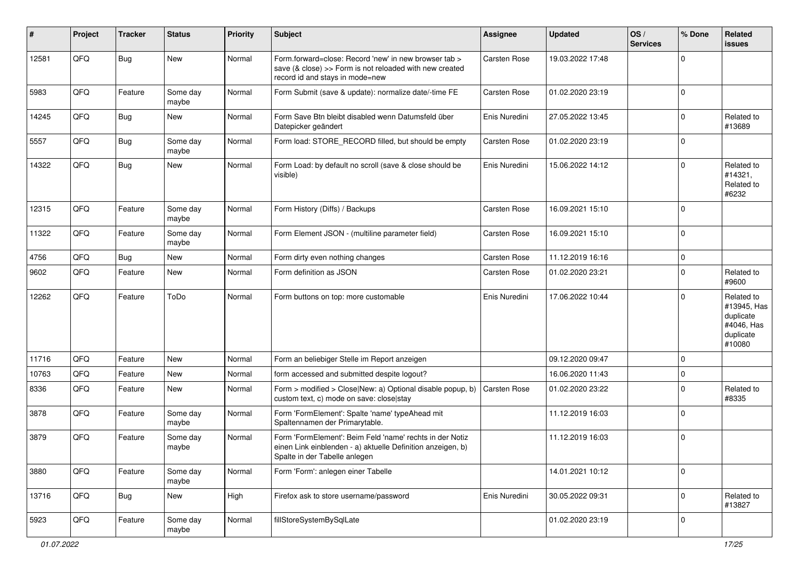| #     | Project | <b>Tracker</b> | <b>Status</b>     | <b>Priority</b> | Subject                                                                                                                                                  | Assignee            | <b>Updated</b>   | OS/<br><b>Services</b> | % Done      | Related<br>issues                                                           |
|-------|---------|----------------|-------------------|-----------------|----------------------------------------------------------------------------------------------------------------------------------------------------------|---------------------|------------------|------------------------|-------------|-----------------------------------------------------------------------------|
| 12581 | QFQ     | <b>Bug</b>     | New               | Normal          | Form.forward=close: Record 'new' in new browser tab ><br>save (& close) >> Form is not reloaded with new created<br>record id and stays in mode=new      | Carsten Rose        | 19.03.2022 17:48 |                        | $\Omega$    |                                                                             |
| 5983  | QFQ     | Feature        | Some day<br>maybe | Normal          | Form Submit (save & update): normalize date/-time FE                                                                                                     | Carsten Rose        | 01.02.2020 23:19 |                        | 0           |                                                                             |
| 14245 | QFQ     | Bug            | New               | Normal          | Form Save Btn bleibt disabled wenn Datumsfeld über<br>Datepicker geändert                                                                                | Enis Nuredini       | 27.05.2022 13:45 |                        | $\mathbf 0$ | Related to<br>#13689                                                        |
| 5557  | QFQ     | Bug            | Some day<br>maybe | Normal          | Form load: STORE RECORD filled, but should be empty                                                                                                      | Carsten Rose        | 01.02.2020 23:19 |                        | $\Omega$    |                                                                             |
| 14322 | QFQ     | <b>Bug</b>     | New               | Normal          | Form Load: by default no scroll (save & close should be<br>visible)                                                                                      | Enis Nuredini       | 15.06.2022 14:12 |                        | $\Omega$    | Related to<br>#14321,<br>Related to<br>#6232                                |
| 12315 | QFQ     | Feature        | Some day<br>maybe | Normal          | Form History (Diffs) / Backups                                                                                                                           | Carsten Rose        | 16.09.2021 15:10 |                        | $\Omega$    |                                                                             |
| 11322 | QFQ     | Feature        | Some day<br>maybe | Normal          | Form Element JSON - (multiline parameter field)                                                                                                          | Carsten Rose        | 16.09.2021 15:10 |                        | $\mathbf 0$ |                                                                             |
| 4756  | QFQ     | <b>Bug</b>     | New               | Normal          | Form dirty even nothing changes                                                                                                                          | <b>Carsten Rose</b> | 11.12.2019 16:16 |                        | $\mathbf 0$ |                                                                             |
| 9602  | QFQ     | Feature        | New               | Normal          | Form definition as JSON                                                                                                                                  | Carsten Rose        | 01.02.2020 23:21 |                        | $\Omega$    | Related to<br>#9600                                                         |
| 12262 | QFQ     | Feature        | ToDo              | Normal          | Form buttons on top: more customable                                                                                                                     | Enis Nuredini       | 17.06.2022 10:44 |                        | $\Omega$    | Related to<br>#13945, Has<br>duplicate<br>#4046, Has<br>duplicate<br>#10080 |
| 11716 | QFQ     | Feature        | New               | Normal          | Form an beliebiger Stelle im Report anzeigen                                                                                                             |                     | 09.12.2020 09:47 |                        | $\mathbf 0$ |                                                                             |
| 10763 | QFQ     | Feature        | New               | Normal          | form accessed and submitted despite logout?                                                                                                              |                     | 16.06.2020 11:43 |                        | $\mathbf 0$ |                                                                             |
| 8336  | QFQ     | Feature        | New               | Normal          | Form > modified > Close New: a) Optional disable popup, b)<br>custom text, c) mode on save: close stay                                                   | <b>Carsten Rose</b> | 01.02.2020 23:22 |                        | $\mathbf 0$ | Related to<br>#8335                                                         |
| 3878  | QFQ     | Feature        | Some day<br>maybe | Normal          | Form 'FormElement': Spalte 'name' typeAhead mit<br>Spaltennamen der Primarytable.                                                                        |                     | 11.12.2019 16:03 |                        | $\Omega$    |                                                                             |
| 3879  | QFQ     | Feature        | Some day<br>maybe | Normal          | Form 'FormElement': Beim Feld 'name' rechts in der Notiz<br>einen Link einblenden - a) aktuelle Definition anzeigen, b)<br>Spalte in der Tabelle anlegen |                     | 11.12.2019 16:03 |                        | $\mathbf 0$ |                                                                             |
| 3880  | QFQ     | Feature        | Some day<br>maybe | Normal          | Form 'Form': anlegen einer Tabelle                                                                                                                       |                     | 14.01.2021 10:12 |                        | $\mathbf 0$ |                                                                             |
| 13716 | QFQ     | <b>Bug</b>     | New               | High            | Firefox ask to store username/password                                                                                                                   | Enis Nuredini       | 30.05.2022 09:31 |                        | $\mathbf 0$ | Related to<br>#13827                                                        |
| 5923  | QFQ     | Feature        | Some day<br>maybe | Normal          | fillStoreSystemBySqlLate                                                                                                                                 |                     | 01.02.2020 23:19 |                        | 0           |                                                                             |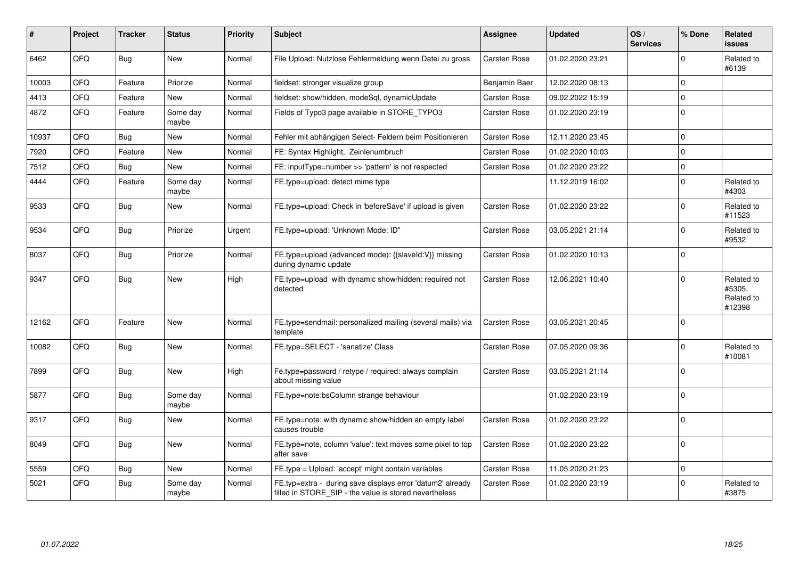| #     | <b>Project</b> | <b>Tracker</b> | <b>Status</b>     | <b>Priority</b> | <b>Subject</b>                                                                                                       | <b>Assignee</b> | <b>Updated</b>   | OS/<br><b>Services</b> | % Done      | Related<br><b>issues</b>                     |
|-------|----------------|----------------|-------------------|-----------------|----------------------------------------------------------------------------------------------------------------------|-----------------|------------------|------------------------|-------------|----------------------------------------------|
| 6462  | QFQ            | <b>Bug</b>     | <b>New</b>        | Normal          | File Upload: Nutzlose Fehlermeldung wenn Datei zu gross                                                              | Carsten Rose    | 01.02.2020 23:21 |                        | $\Omega$    | Related to<br>#6139                          |
| 10003 | QFQ            | Feature        | Priorize          | Normal          | fieldset: stronger visualize group                                                                                   | Benjamin Baer   | 12.02.2020 08:13 |                        | $\Omega$    |                                              |
| 4413  | QFQ            | Feature        | New               | Normal          | fieldset: show/hidden, modeSql, dynamicUpdate                                                                        | Carsten Rose    | 09.02.2022 15:19 |                        | $\Omega$    |                                              |
| 4872  | QFQ            | Feature        | Some day<br>maybe | Normal          | Fields of Typo3 page available in STORE TYPO3                                                                        | Carsten Rose    | 01.02.2020 23:19 |                        | $\mathbf 0$ |                                              |
| 10937 | QFQ            | <b>Bug</b>     | <b>New</b>        | Normal          | Fehler mit abhängigen Select- Feldern beim Positionieren                                                             | Carsten Rose    | 12.11.2020 23:45 |                        | $\mathbf 0$ |                                              |
| 7920  | QFQ            | Feature        | <b>New</b>        | Normal          | FE: Syntax Highlight, Zeinlenumbruch                                                                                 | Carsten Rose    | 01.02.2020 10:03 |                        | $\Omega$    |                                              |
| 7512  | QFQ            | Bug            | New               | Normal          | FE: inputType=number >> 'pattern' is not respected                                                                   | Carsten Rose    | 01.02.2020 23:22 |                        | $\mathbf 0$ |                                              |
| 4444  | QFQ            | Feature        | Some day<br>maybe | Normal          | FE.type=upload: detect mime type                                                                                     |                 | 11.12.2019 16:02 |                        | $\mathbf 0$ | Related to<br>#4303                          |
| 9533  | QFQ            | Bug            | New               | Normal          | FE.type=upload: Check in 'beforeSave' if upload is given                                                             | Carsten Rose    | 01.02.2020 23:22 |                        | $\Omega$    | Related to<br>#11523                         |
| 9534  | QFQ            | <b>Bug</b>     | Priorize          | Urgent          | FE.type=upload: 'Unknown Mode: ID"                                                                                   | Carsten Rose    | 03.05.2021 21:14 |                        | $\Omega$    | Related to<br>#9532                          |
| 8037  | QFQ            | <b>Bug</b>     | Priorize          | Normal          | FE.type=upload (advanced mode): {{slaveld:V}} missing<br>during dynamic update                                       | Carsten Rose    | 01.02.2020 10:13 |                        | $\Omega$    |                                              |
| 9347  | QFQ            | <b>Bug</b>     | <b>New</b>        | High            | FE.type=upload with dynamic show/hidden: required not<br>detected                                                    | Carsten Rose    | 12.06.2021 10:40 |                        | $\Omega$    | Related to<br>#5305.<br>Related to<br>#12398 |
| 12162 | QFQ            | Feature        | <b>New</b>        | Normal          | FE.type=sendmail: personalized mailing (several mails) via<br>template                                               | Carsten Rose    | 03.05.2021 20:45 |                        | $\Omega$    |                                              |
| 10082 | QFQ            | <b>Bug</b>     | <b>New</b>        | Normal          | FE.type=SELECT - 'sanatize' Class                                                                                    | Carsten Rose    | 07.05.2020 09:36 |                        | $\Omega$    | Related to<br>#10081                         |
| 7899  | QFQ            | Bug            | <b>New</b>        | High            | Fe.type=password / retype / required: always complain<br>about missing value                                         | Carsten Rose    | 03.05.2021 21:14 |                        | $\Omega$    |                                              |
| 5877  | QFQ            | <b>Bug</b>     | Some day<br>maybe | Normal          | FE.type=note:bsColumn strange behaviour                                                                              |                 | 01.02.2020 23:19 |                        | $\Omega$    |                                              |
| 9317  | QFQ            | <b>Bug</b>     | New               | Normal          | FE.type=note: with dynamic show/hidden an empty label<br>causes trouble                                              | Carsten Rose    | 01.02.2020 23:22 |                        | $\Omega$    |                                              |
| 8049  | QFQ            | <b>Bug</b>     | <b>New</b>        | Normal          | FE.type=note, column 'value': text moves some pixel to top<br>after save                                             | Carsten Rose    | 01.02.2020 23:22 |                        | $\mathbf 0$ |                                              |
| 5559  | QFQ            | <b>Bug</b>     | <b>New</b>        | Normal          | FE.type = Upload: 'accept' might contain variables                                                                   | Carsten Rose    | 11.05.2020 21:23 |                        | $\mathbf 0$ |                                              |
| 5021  | QFQ            | <b>Bug</b>     | Some day<br>maybe | Normal          | FE.typ=extra - during save displays error 'datum2' already<br>filled in STORE_SIP - the value is stored nevertheless | Carsten Rose    | 01.02.2020 23:19 |                        | $\Omega$    | Related to<br>#3875                          |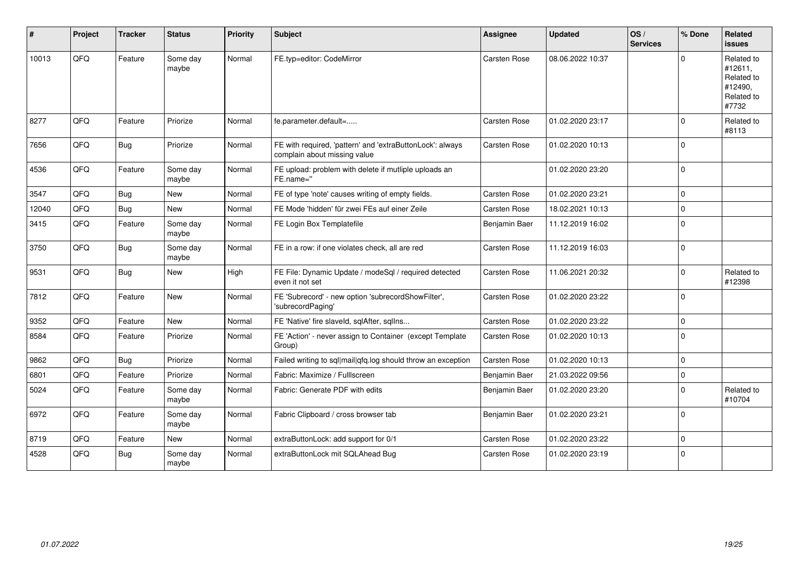| #     | Project | <b>Tracker</b> | <b>Status</b>     | <b>Priority</b> | <b>Subject</b>                                                                            | <b>Assignee</b> | <b>Updated</b>   | OS/<br><b>Services</b> | % Done      | Related<br><b>issues</b>                                              |
|-------|---------|----------------|-------------------|-----------------|-------------------------------------------------------------------------------------------|-----------------|------------------|------------------------|-------------|-----------------------------------------------------------------------|
| 10013 | QFQ     | Feature        | Some day<br>maybe | Normal          | FE.typ=editor: CodeMirror                                                                 | Carsten Rose    | 08.06.2022 10:37 |                        | $\Omega$    | Related to<br>#12611,<br>Related to<br>#12490.<br>Related to<br>#7732 |
| 8277  | QFQ     | Feature        | Priorize          | Normal          | fe.parameter.default=                                                                     | Carsten Rose    | 01.02.2020 23:17 |                        | $\Omega$    | Related to<br>#8113                                                   |
| 7656  | QFQ     | <b>Bug</b>     | Priorize          | Normal          | FE with required, 'pattern' and 'extraButtonLock': always<br>complain about missing value | Carsten Rose    | 01.02.2020 10:13 |                        | $\Omega$    |                                                                       |
| 4536  | QFQ     | Feature        | Some day<br>maybe | Normal          | FE upload: problem with delete if mutliple uploads an<br>FE.name="                        |                 | 01.02.2020 23:20 |                        | $\mathbf 0$ |                                                                       |
| 3547  | QFQ     | <b>Bug</b>     | New               | Normal          | FE of type 'note' causes writing of empty fields.                                         | Carsten Rose    | 01.02.2020 23:21 |                        | $\Omega$    |                                                                       |
| 12040 | QFQ     | <b>Bug</b>     | <b>New</b>        | Normal          | FE Mode 'hidden' für zwei FEs auf einer Zeile                                             | Carsten Rose    | 18.02.2021 10:13 |                        | $\Omega$    |                                                                       |
| 3415  | QFQ     | Feature        | Some day<br>maybe | Normal          | FE Login Box Templatefile                                                                 | Benjamin Baer   | 11.12.2019 16:02 |                        | $\Omega$    |                                                                       |
| 3750  | QFQ     | <b>Bug</b>     | Some day<br>maybe | Normal          | FE in a row: if one violates check, all are red                                           | Carsten Rose    | 11.12.2019 16:03 |                        | $\mathbf 0$ |                                                                       |
| 9531  | QFQ     | <b>Bug</b>     | New               | High            | FE File: Dynamic Update / modeSql / required detected<br>even it not set                  | Carsten Rose    | 11.06.2021 20:32 |                        | $\mathbf 0$ | Related to<br>#12398                                                  |
| 7812  | QFQ     | Feature        | New               | Normal          | FE 'Subrecord' - new option 'subrecordShowFilter',<br>'subrecordPaging'                   | Carsten Rose    | 01.02.2020 23:22 |                        | $\Omega$    |                                                                       |
| 9352  | QFQ     | Feature        | <b>New</b>        | Normal          | FE 'Native' fire slaveld, sqlAfter, sqlIns                                                | Carsten Rose    | 01.02.2020 23:22 |                        | $\mathbf 0$ |                                                                       |
| 8584  | QFQ     | Feature        | Priorize          | Normal          | FE 'Action' - never assign to Container (except Template<br>Group)                        | Carsten Rose    | 01.02.2020 10:13 |                        | $\Omega$    |                                                                       |
| 9862  | QFQ     | Bug            | Priorize          | Normal          | Failed writing to sql mail qfq.log should throw an exception                              | Carsten Rose    | 01.02.2020 10:13 |                        | $\Omega$    |                                                                       |
| 6801  | QFQ     | Feature        | Priorize          | Normal          | Fabric: Maximize / FullIscreen                                                            | Benjamin Baer   | 21.03.2022 09:56 |                        | $\mathbf 0$ |                                                                       |
| 5024  | QFQ     | Feature        | Some day<br>maybe | Normal          | Fabric: Generate PDF with edits                                                           | Benjamin Baer   | 01.02.2020 23:20 |                        | $\Omega$    | Related to<br>#10704                                                  |
| 6972  | QFQ     | Feature        | Some day<br>maybe | Normal          | Fabric Clipboard / cross browser tab                                                      | Benjamin Baer   | 01.02.2020 23:21 |                        | $\Omega$    |                                                                       |
| 8719  | QFQ     | Feature        | <b>New</b>        | Normal          | extraButtonLock: add support for 0/1                                                      | Carsten Rose    | 01.02.2020 23:22 |                        | $\mathbf 0$ |                                                                       |
| 4528  | QFQ     | <b>Bug</b>     | Some day<br>maybe | Normal          | extraButtonLock mit SQLAhead Bug                                                          | Carsten Rose    | 01.02.2020 23:19 |                        | $\mathbf 0$ |                                                                       |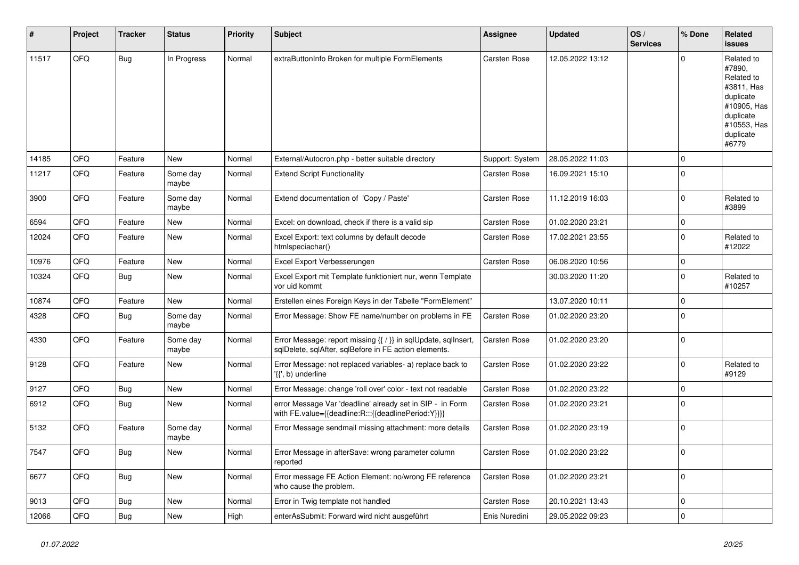| ∦     | Project | <b>Tracker</b> | <b>Status</b>     | <b>Priority</b> | <b>Subject</b>                                                                                                          | Assignee        | <b>Updated</b>   | OS/<br><b>Services</b> | % Done      | Related<br>issues                                                                                                              |
|-------|---------|----------------|-------------------|-----------------|-------------------------------------------------------------------------------------------------------------------------|-----------------|------------------|------------------------|-------------|--------------------------------------------------------------------------------------------------------------------------------|
| 11517 | QFQ     | Bug            | In Progress       | Normal          | extraButtonInfo Broken for multiple FormElements                                                                        | Carsten Rose    | 12.05.2022 13:12 |                        | $\Omega$    | Related to<br>#7890,<br>Related to<br>#3811, Has<br>duplicate<br>#10905, Has<br>duplicate<br>#10553, Has<br>duplicate<br>#6779 |
| 14185 | QFQ     | Feature        | <b>New</b>        | Normal          | External/Autocron.php - better suitable directory                                                                       | Support: System | 28.05.2022 11:03 |                        | $\Omega$    |                                                                                                                                |
| 11217 | QFQ     | Feature        | Some day<br>maybe | Normal          | <b>Extend Script Functionality</b>                                                                                      | Carsten Rose    | 16.09.2021 15:10 |                        | $\Omega$    |                                                                                                                                |
| 3900  | QFQ     | Feature        | Some day<br>maybe | Normal          | Extend documentation of 'Copy / Paste'                                                                                  | Carsten Rose    | 11.12.2019 16:03 |                        | $\Omega$    | Related to<br>#3899                                                                                                            |
| 6594  | QFQ     | Feature        | <b>New</b>        | Normal          | Excel: on download, check if there is a valid sip                                                                       | Carsten Rose    | 01.02.2020 23:21 |                        | $\mathbf 0$ |                                                                                                                                |
| 12024 | QFQ     | Feature        | New               | Normal          | Excel Export: text columns by default decode<br>htmlspeciachar()                                                        | Carsten Rose    | 17.02.2021 23:55 |                        | $\mathbf 0$ | Related to<br>#12022                                                                                                           |
| 10976 | QFQ     | Feature        | <b>New</b>        | Normal          | Excel Export Verbesserungen                                                                                             | Carsten Rose    | 06.08.2020 10:56 |                        | $\mathbf 0$ |                                                                                                                                |
| 10324 | QFQ     | Bug            | New               | Normal          | Excel Export mit Template funktioniert nur, wenn Template<br>vor uid kommt                                              |                 | 30.03.2020 11:20 |                        | $\Omega$    | Related to<br>#10257                                                                                                           |
| 10874 | QFQ     | Feature        | <b>New</b>        | Normal          | Erstellen eines Foreign Keys in der Tabelle "FormElement"                                                               |                 | 13.07.2020 10:11 |                        | $\Omega$    |                                                                                                                                |
| 4328  | QFQ     | <b>Bug</b>     | Some day<br>maybe | Normal          | Error Message: Show FE name/number on problems in FE                                                                    | Carsten Rose    | 01.02.2020 23:20 |                        | $\Omega$    |                                                                                                                                |
| 4330  | QFQ     | Feature        | Some day<br>maybe | Normal          | Error Message: report missing {{ / }} in sqlUpdate, sqlInsert,<br>sqlDelete, sqlAfter, sqlBefore in FE action elements. | Carsten Rose    | 01.02.2020 23:20 |                        | $\Omega$    |                                                                                                                                |
| 9128  | QFQ     | Feature        | New               | Normal          | Error Message: not replaced variables- a) replace back to<br>'{{', b) underline                                         | Carsten Rose    | 01.02.2020 23:22 |                        | $\Omega$    | Related to<br>#9129                                                                                                            |
| 9127  | QFQ     | Bug            | New               | Normal          | Error Message: change 'roll over' color - text not readable                                                             | Carsten Rose    | 01.02.2020 23:22 |                        | $\mathbf 0$ |                                                                                                                                |
| 6912  | QFQ     | Bug            | <b>New</b>        | Normal          | error Message Var 'deadline' already set in SIP - in Form<br>with FE.value={{deadline:R:::{{deadlinePeriod:Y}}}}        | Carsten Rose    | 01.02.2020 23:21 |                        | $\mathbf 0$ |                                                                                                                                |
| 5132  | QFQ     | Feature        | Some day<br>maybe | Normal          | Error Message sendmail missing attachment: more details                                                                 | Carsten Rose    | 01.02.2020 23:19 |                        | $\Omega$    |                                                                                                                                |
| 7547  | QFQ     | Bug            | New               | Normal          | Error Message in afterSave: wrong parameter column<br>reported                                                          | Carsten Rose    | 01.02.2020 23:22 |                        | $\Omega$    |                                                                                                                                |
| 6677  | QFQ     | Bug            | <b>New</b>        | Normal          | Error message FE Action Element: no/wrong FE reference<br>who cause the problem.                                        | Carsten Rose    | 01.02.2020 23:21 |                        | $\mathbf 0$ |                                                                                                                                |
| 9013  | QFQ     | <b>Bug</b>     | <b>New</b>        | Normal          | Error in Twig template not handled                                                                                      | Carsten Rose    | 20.10.2021 13:43 |                        | $\mathbf 0$ |                                                                                                                                |
| 12066 | QFQ     | Bug            | New               | High            | enterAsSubmit: Forward wird nicht ausgeführt                                                                            | Enis Nuredini   | 29.05.2022 09:23 |                        | $\mathbf 0$ |                                                                                                                                |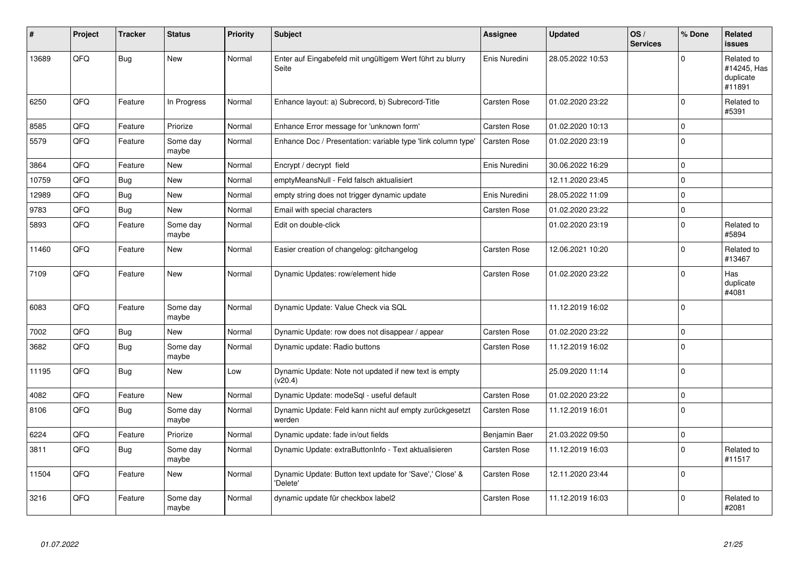| ∦     | Project | <b>Tracker</b> | <b>Status</b>     | <b>Priority</b> | <b>Subject</b>                                                       | Assignee            | <b>Updated</b>   | OS/<br><b>Services</b> | % Done         | Related<br><b>issues</b>                         |
|-------|---------|----------------|-------------------|-----------------|----------------------------------------------------------------------|---------------------|------------------|------------------------|----------------|--------------------------------------------------|
| 13689 | QFQ     | Bug            | <b>New</b>        | Normal          | Enter auf Eingabefeld mit ungültigem Wert führt zu blurry<br>Seite   | Enis Nuredini       | 28.05.2022 10:53 |                        | $\Omega$       | Related to<br>#14245, Has<br>duplicate<br>#11891 |
| 6250  | QFQ     | Feature        | In Progress       | Normal          | Enhance layout: a) Subrecord, b) Subrecord-Title                     | Carsten Rose        | 01.02.2020 23:22 |                        | $\Omega$       | Related to<br>#5391                              |
| 8585  | QFQ     | Feature        | Priorize          | Normal          | Enhance Error message for 'unknown form'                             | Carsten Rose        | 01.02.2020 10:13 |                        | $\mathbf 0$    |                                                  |
| 5579  | QFQ     | Feature        | Some day<br>maybe | Normal          | Enhance Doc / Presentation: variable type 'link column type'         | <b>Carsten Rose</b> | 01.02.2020 23:19 |                        | $\mathbf 0$    |                                                  |
| 3864  | QFQ     | Feature        | New               | Normal          | Encrypt / decrypt field                                              | Enis Nuredini       | 30.06.2022 16:29 |                        | $\Omega$       |                                                  |
| 10759 | QFQ     | Bug            | <b>New</b>        | Normal          | emptyMeansNull - Feld falsch aktualisiert                            |                     | 12.11.2020 23:45 |                        | $\mathbf 0$    |                                                  |
| 12989 | QFQ     | <b>Bug</b>     | <b>New</b>        | Normal          | empty string does not trigger dynamic update                         | Enis Nuredini       | 28.05.2022 11:09 |                        | $\Omega$       |                                                  |
| 9783  | QFQ     | Bug            | <b>New</b>        | Normal          | Email with special characters                                        | Carsten Rose        | 01.02.2020 23:22 |                        | $\mathbf 0$    |                                                  |
| 5893  | QFQ     | Feature        | Some day<br>maybe | Normal          | Edit on double-click                                                 |                     | 01.02.2020 23:19 |                        | $\Omega$       | Related to<br>#5894                              |
| 11460 | QFQ     | Feature        | <b>New</b>        | Normal          | Easier creation of changelog: gitchangelog                           | Carsten Rose        | 12.06.2021 10:20 |                        | $\Omega$       | Related to<br>#13467                             |
| 7109  | QFQ     | Feature        | <b>New</b>        | Normal          | Dynamic Updates: row/element hide                                    | <b>Carsten Rose</b> | 01.02.2020 23:22 |                        | $\mathbf 0$    | Has<br>duplicate<br>#4081                        |
| 6083  | QFQ     | Feature        | Some day<br>maybe | Normal          | Dynamic Update: Value Check via SQL                                  |                     | 11.12.2019 16:02 |                        | $\Omega$       |                                                  |
| 7002  | QFQ     | <b>Bug</b>     | <b>New</b>        | Normal          | Dynamic Update: row does not disappear / appear                      | Carsten Rose        | 01.02.2020 23:22 |                        | $\mathbf 0$    |                                                  |
| 3682  | QFQ     | Bug            | Some day<br>maybe | Normal          | Dynamic update: Radio buttons                                        | <b>Carsten Rose</b> | 11.12.2019 16:02 |                        | $\mathbf 0$    |                                                  |
| 11195 | QFQ     | Bug            | New               | Low             | Dynamic Update: Note not updated if new text is empty<br>(v20.4)     |                     | 25.09.2020 11:14 |                        | $\overline{0}$ |                                                  |
| 4082  | QFQ     | Feature        | <b>New</b>        | Normal          | Dynamic Update: modeSql - useful default                             | Carsten Rose        | 01.02.2020 23:22 |                        | $\pmb{0}$      |                                                  |
| 8106  | QFQ     | <b>Bug</b>     | Some day<br>maybe | Normal          | Dynamic Update: Feld kann nicht auf empty zurückgesetzt<br>werden    | <b>Carsten Rose</b> | 11.12.2019 16:01 |                        | $\Omega$       |                                                  |
| 6224  | QFQ     | Feature        | Priorize          | Normal          | Dynamic update: fade in/out fields                                   | Benjamin Baer       | 21.03.2022 09:50 |                        | $\pmb{0}$      |                                                  |
| 3811  | QFQ     | Bug            | Some day<br>maybe | Normal          | Dynamic Update: extraButtonInfo - Text aktualisieren                 | Carsten Rose        | 11.12.2019 16:03 |                        | $\Omega$       | Related to<br>#11517                             |
| 11504 | QFQ     | Feature        | New               | Normal          | Dynamic Update: Button text update for 'Save',' Close' &<br>'Delete' | Carsten Rose        | 12.11.2020 23:44 |                        | $\mathbf 0$    |                                                  |
| 3216  | QFQ     | Feature        | Some day<br>maybe | Normal          | dynamic update für checkbox label2                                   | Carsten Rose        | 11.12.2019 16:03 |                        | $\Omega$       | Related to<br>#2081                              |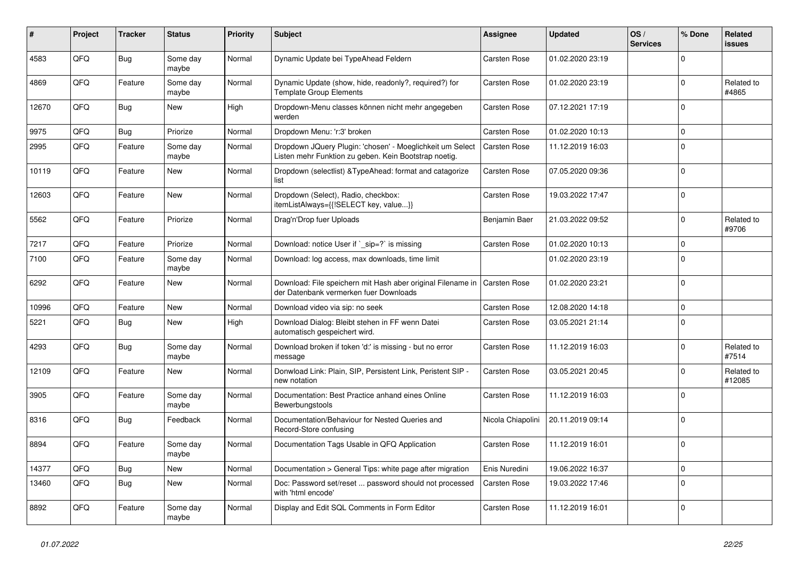| ∦     | Project | <b>Tracker</b> | <b>Status</b>     | <b>Priority</b> | <b>Subject</b>                                                                                                     | <b>Assignee</b>     | <b>Updated</b>   | OS/<br><b>Services</b> | % Done      | Related<br>issues    |
|-------|---------|----------------|-------------------|-----------------|--------------------------------------------------------------------------------------------------------------------|---------------------|------------------|------------------------|-------------|----------------------|
| 4583  | QFQ     | Bug            | Some day<br>maybe | Normal          | Dynamic Update bei TypeAhead Feldern                                                                               | Carsten Rose        | 01.02.2020 23:19 |                        | $\Omega$    |                      |
| 4869  | QFQ     | Feature        | Some day<br>maybe | Normal          | Dynamic Update (show, hide, readonly?, required?) for<br>Template Group Elements                                   | Carsten Rose        | 01.02.2020 23:19 |                        | $\mathbf 0$ | Related to<br>#4865  |
| 12670 | QFQ     | Bug            | New               | High            | Dropdown-Menu classes können nicht mehr angegeben<br>werden                                                        | Carsten Rose        | 07.12.2021 17:19 |                        | $\Omega$    |                      |
| 9975  | QFQ     | <b>Bug</b>     | Priorize          | Normal          | Dropdown Menu: 'r:3' broken                                                                                        | Carsten Rose        | 01.02.2020 10:13 |                        | $\Omega$    |                      |
| 2995  | QFQ     | Feature        | Some day<br>maybe | Normal          | Dropdown JQuery Plugin: 'chosen' - Moeglichkeit um Select<br>Listen mehr Funktion zu geben. Kein Bootstrap noetig. | Carsten Rose        | 11.12.2019 16:03 |                        | $\Omega$    |                      |
| 10119 | QFQ     | Feature        | <b>New</b>        | Normal          | Dropdown (selectlist) & TypeAhead: format and catagorize<br>list                                                   | Carsten Rose        | 07.05.2020 09:36 |                        | $\Omega$    |                      |
| 12603 | QFQ     | Feature        | New               | Normal          | Dropdown (Select), Radio, checkbox:<br>itemListAlways={{!SELECT key, value}}                                       | Carsten Rose        | 19.03.2022 17:47 |                        | $\Omega$    |                      |
| 5562  | QFQ     | Feature        | Priorize          | Normal          | Drag'n'Drop fuer Uploads                                                                                           | Benjamin Baer       | 21.03.2022 09:52 |                        | $\Omega$    | Related to<br>#9706  |
| 7217  | QFQ     | Feature        | Priorize          | Normal          | Download: notice User if `_sip=?` is missing                                                                       | Carsten Rose        | 01.02.2020 10:13 |                        | $\Omega$    |                      |
| 7100  | QFQ     | Feature        | Some day<br>maybe | Normal          | Download: log access, max downloads, time limit                                                                    |                     | 01.02.2020 23:19 |                        | $\Omega$    |                      |
| 6292  | QFQ     | Feature        | <b>New</b>        | Normal          | Download: File speichern mit Hash aber original Filename in<br>der Datenbank vermerken fuer Downloads              | <b>Carsten Rose</b> | 01.02.2020 23:21 |                        | $\Omega$    |                      |
| 10996 | QFQ     | Feature        | <b>New</b>        | Normal          | Download video via sip: no seek                                                                                    | Carsten Rose        | 12.08.2020 14:18 |                        | $\mathbf 0$ |                      |
| 5221  | QFQ     | Bug            | <b>New</b>        | High            | Download Dialog: Bleibt stehen in FF wenn Datei<br>automatisch gespeichert wird.                                   | Carsten Rose        | 03.05.2021 21:14 |                        | $\Omega$    |                      |
| 4293  | QFQ     | Bug            | Some day<br>maybe | Normal          | Download broken if token 'd:' is missing - but no error<br>message                                                 | Carsten Rose        | 11.12.2019 16:03 |                        | $\Omega$    | Related to<br>#7514  |
| 12109 | QFQ     | Feature        | <b>New</b>        | Normal          | Donwload Link: Plain, SIP, Persistent Link, Peristent SIP -<br>new notation                                        | Carsten Rose        | 03.05.2021 20:45 |                        | $\Omega$    | Related to<br>#12085 |
| 3905  | QFQ     | Feature        | Some day<br>maybe | Normal          | Documentation: Best Practice anhand eines Online<br>Bewerbungstools                                                | Carsten Rose        | 11.12.2019 16:03 |                        | $\Omega$    |                      |
| 8316  | QFQ     | Bug            | Feedback          | Normal          | Documentation/Behaviour for Nested Queries and<br>Record-Store confusing                                           | Nicola Chiapolini   | 20.11.2019 09:14 |                        | $\Omega$    |                      |
| 8894  | QFQ     | Feature        | Some day<br>maybe | Normal          | Documentation Tags Usable in QFQ Application                                                                       | Carsten Rose        | 11.12.2019 16:01 |                        | $\Omega$    |                      |
| 14377 | QFQ     | <b>Bug</b>     | New               | Normal          | Documentation > General Tips: white page after migration                                                           | Enis Nuredini       | 19.06.2022 16:37 |                        | $\mathbf 0$ |                      |
| 13460 | QFQ     | Bug            | <b>New</b>        | Normal          | Doc: Password set/reset  password should not processed<br>with 'html encode'                                       | <b>Carsten Rose</b> | 19.03.2022 17:46 |                        | $\Omega$    |                      |
| 8892  | QFQ     | Feature        | Some day<br>maybe | Normal          | Display and Edit SQL Comments in Form Editor                                                                       | Carsten Rose        | 11.12.2019 16:01 |                        | $\Omega$    |                      |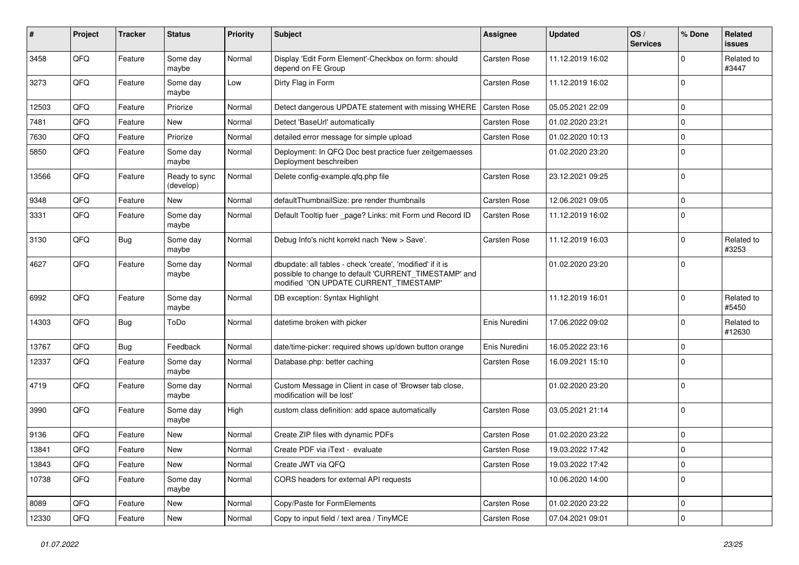| #     | Project | <b>Tracker</b> | <b>Status</b>              | <b>Priority</b> | <b>Subject</b>                                                                                                                                                | Assignee            | <b>Updated</b>   | OS/<br><b>Services</b> | % Done       | Related<br>issues    |
|-------|---------|----------------|----------------------------|-----------------|---------------------------------------------------------------------------------------------------------------------------------------------------------------|---------------------|------------------|------------------------|--------------|----------------------|
| 3458  | QFQ     | Feature        | Some day<br>maybe          | Normal          | Display 'Edit Form Element'-Checkbox on form: should<br>depend on FE Group                                                                                    | Carsten Rose        | 11.12.2019 16:02 |                        | <sup>0</sup> | Related to<br>#3447  |
| 3273  | QFQ     | Feature        | Some day<br>maybe          | Low             | Dirty Flag in Form                                                                                                                                            | Carsten Rose        | 11.12.2019 16:02 |                        | $\Omega$     |                      |
| 12503 | QFQ     | Feature        | Priorize                   | Normal          | Detect dangerous UPDATE statement with missing WHERE                                                                                                          | Carsten Rose        | 05.05.2021 22:09 |                        | 0            |                      |
| 7481  | QFQ     | Feature        | <b>New</b>                 | Normal          | Detect 'BaseUrl' automatically                                                                                                                                | Carsten Rose        | 01.02.2020 23:21 |                        | $\Omega$     |                      |
| 7630  | QFQ     | Feature        | Priorize                   | Normal          | detailed error message for simple upload                                                                                                                      | Carsten Rose        | 01.02.2020 10:13 |                        | $\mathbf 0$  |                      |
| 5850  | QFQ     | Feature        | Some day<br>maybe          | Normal          | Deployment: In QFQ Doc best practice fuer zeitgemaesses<br>Deployment beschreiben                                                                             |                     | 01.02.2020 23:20 |                        | $\Omega$     |                      |
| 13566 | QFQ     | Feature        | Ready to sync<br>(develop) | Normal          | Delete config-example.qfq.php file                                                                                                                            | Carsten Rose        | 23.12.2021 09:25 |                        | $\Omega$     |                      |
| 9348  | QFQ     | Feature        | <b>New</b>                 | Normal          | defaultThumbnailSize: pre render thumbnails                                                                                                                   | Carsten Rose        | 12.06.2021 09:05 |                        | 0            |                      |
| 3331  | QFQ     | Feature        | Some day<br>maybe          | Normal          | Default Tooltip fuer _page? Links: mit Form und Record ID                                                                                                     | Carsten Rose        | 11.12.2019 16:02 |                        | $\Omega$     |                      |
| 3130  | QFQ     | Bug            | Some day<br>maybe          | Normal          | Debug Info's nicht korrekt nach 'New > Save'.                                                                                                                 | Carsten Rose        | 11.12.2019 16:03 |                        | $\Omega$     | Related to<br>#3253  |
| 4627  | QFQ     | Feature        | Some day<br>maybe          | Normal          | dbupdate: all tables - check 'create', 'modified' if it is<br>possible to change to default 'CURRENT TIMESTAMP' and<br>modified 'ON UPDATE CURRENT_TIMESTAMP' |                     | 01.02.2020 23:20 |                        | $\Omega$     |                      |
| 6992  | QFQ     | Feature        | Some day<br>maybe          | Normal          | DB exception: Syntax Highlight                                                                                                                                |                     | 11.12.2019 16:01 |                        | $\Omega$     | Related to<br>#5450  |
| 14303 | QFQ     | <b>Bug</b>     | ToDo                       | Normal          | datetime broken with picker                                                                                                                                   | Enis Nuredini       | 17.06.2022 09:02 |                        | 0            | Related to<br>#12630 |
| 13767 | QFQ     | <b>Bug</b>     | Feedback                   | Normal          | date/time-picker: required shows up/down button orange                                                                                                        | Enis Nuredini       | 16.05.2022 23:16 |                        | $\Omega$     |                      |
| 12337 | QFQ     | Feature        | Some day<br>maybe          | Normal          | Database.php: better caching                                                                                                                                  | Carsten Rose        | 16.09.2021 15:10 |                        | $\Omega$     |                      |
| 4719  | QFQ     | Feature        | Some day<br>maybe          | Normal          | Custom Message in Client in case of 'Browser tab close,<br>modification will be lost'                                                                         |                     | 01.02.2020 23:20 |                        | $\Omega$     |                      |
| 3990  | QFQ     | Feature        | Some day<br>maybe          | High            | custom class definition: add space automatically                                                                                                              | Carsten Rose        | 03.05.2021 21:14 |                        | $\mathbf 0$  |                      |
| 9136  | QFQ     | Feature        | <b>New</b>                 | Normal          | Create ZIP files with dynamic PDFs                                                                                                                            | Carsten Rose        | 01.02.2020 23:22 |                        | 0            |                      |
| 13841 | QFQ     | Feature        | New                        | Normal          | Create PDF via iText - evaluate                                                                                                                               | <b>Carsten Rose</b> | 19.03.2022 17:42 |                        | $\Omega$     |                      |
| 13843 | QFQ     | Feature        | New                        | Normal          | Create JWT via QFQ                                                                                                                                            | Carsten Rose        | 19.03.2022 17:42 |                        | $\mathbf 0$  |                      |
| 10738 | QFQ     | Feature        | Some day<br>maybe          | Normal          | CORS headers for external API requests                                                                                                                        |                     | 10.06.2020 14:00 |                        | $\Omega$     |                      |
| 8089  | QFQ     | Feature        | New                        | Normal          | Copy/Paste for FormElements                                                                                                                                   | Carsten Rose        | 01.02.2020 23:22 |                        | 0            |                      |
| 12330 | QFQ     | Feature        | New                        | Normal          | Copy to input field / text area / TinyMCE                                                                                                                     | Carsten Rose        | 07.04.2021 09:01 |                        | 0            |                      |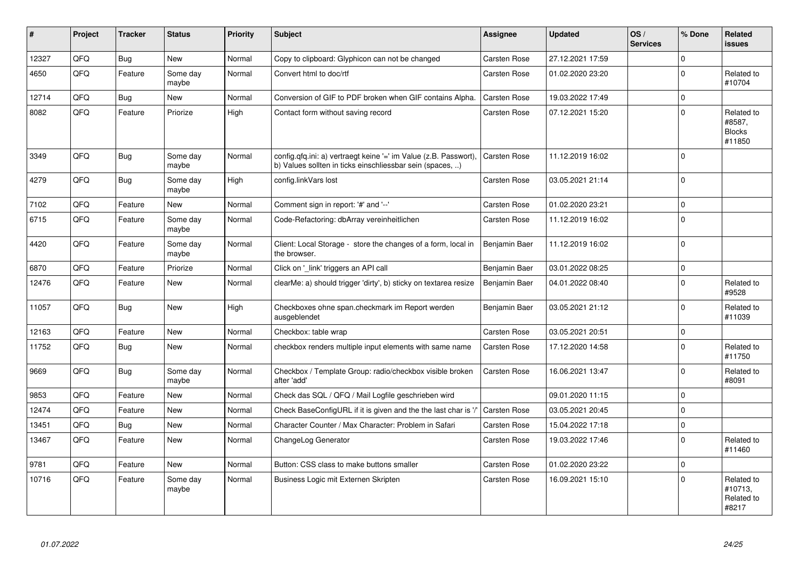| #     | Project | <b>Tracker</b> | <b>Status</b>     | <b>Priority</b> | <b>Subject</b>                                                                                                                | Assignee            | <b>Updated</b>   | OS/<br><b>Services</b> | % Done      | Related<br><b>issues</b>                        |
|-------|---------|----------------|-------------------|-----------------|-------------------------------------------------------------------------------------------------------------------------------|---------------------|------------------|------------------------|-------------|-------------------------------------------------|
| 12327 | QFQ     | <b>Bug</b>     | New               | Normal          | Copy to clipboard: Glyphicon can not be changed                                                                               | Carsten Rose        | 27.12.2021 17:59 |                        | $\Omega$    |                                                 |
| 4650  | QFQ     | Feature        | Some day<br>maybe | Normal          | Convert html to doc/rtf                                                                                                       | Carsten Rose        | 01.02.2020 23:20 |                        | $\mathbf 0$ | Related to<br>#10704                            |
| 12714 | QFQ     | <b>Bug</b>     | <b>New</b>        | Normal          | Conversion of GIF to PDF broken when GIF contains Alpha.                                                                      | Carsten Rose        | 19.03.2022 17:49 |                        | $\mathbf 0$ |                                                 |
| 8082  | QFQ     | Feature        | Priorize          | High            | Contact form without saving record                                                                                            | Carsten Rose        | 07.12.2021 15:20 |                        | $\Omega$    | Related to<br>#8587,<br><b>Blocks</b><br>#11850 |
| 3349  | QFQ     | <b>Bug</b>     | Some day<br>maybe | Normal          | config.qfq.ini: a) vertraegt keine '=' im Value (z.B. Passwort),<br>b) Values sollten in ticks einschliessbar sein (spaces, ) | <b>Carsten Rose</b> | 11.12.2019 16:02 |                        | $\mathbf 0$ |                                                 |
| 4279  | QFQ     | Bug            | Some day<br>maybe | High            | config.linkVars lost                                                                                                          | Carsten Rose        | 03.05.2021 21:14 |                        | $\mathbf 0$ |                                                 |
| 7102  | QFQ     | Feature        | New               | Normal          | Comment sign in report: '#' and '--'                                                                                          | Carsten Rose        | 01.02.2020 23:21 |                        | $\pmb{0}$   |                                                 |
| 6715  | QFQ     | Feature        | Some day<br>maybe | Normal          | Code-Refactoring: dbArray vereinheitlichen                                                                                    | Carsten Rose        | 11.12.2019 16:02 |                        | $\mathbf 0$ |                                                 |
| 4420  | QFQ     | Feature        | Some day<br>maybe | Normal          | Client: Local Storage - store the changes of a form, local in<br>the browser.                                                 | Benjamin Baer       | 11.12.2019 16:02 |                        | $\mathbf 0$ |                                                 |
| 6870  | QFQ     | Feature        | Priorize          | Normal          | Click on '_link' triggers an API call                                                                                         | Benjamin Baer       | 03.01.2022 08:25 |                        | $\mathbf 0$ |                                                 |
| 12476 | QFQ     | Feature        | <b>New</b>        | Normal          | clearMe: a) should trigger 'dirty', b) sticky on textarea resize                                                              | Benjamin Baer       | 04.01.2022 08:40 |                        | $\mathbf 0$ | Related to<br>#9528                             |
| 11057 | QFQ     | <b>Bug</b>     | <b>New</b>        | High            | Checkboxes ohne span.checkmark im Report werden<br>ausgeblendet                                                               | Benjamin Baer       | 03.05.2021 21:12 |                        | $\Omega$    | Related to<br>#11039                            |
| 12163 | QFQ     | Feature        | <b>New</b>        | Normal          | Checkbox: table wrap                                                                                                          | Carsten Rose        | 03.05.2021 20:51 |                        | $\pmb{0}$   |                                                 |
| 11752 | QFQ     | <b>Bug</b>     | <b>New</b>        | Normal          | checkbox renders multiple input elements with same name                                                                       | Carsten Rose        | 17.12.2020 14:58 |                        | $\Omega$    | Related to<br>#11750                            |
| 9669  | QFQ     | Bug            | Some day<br>maybe | Normal          | Checkbox / Template Group: radio/checkbox visible broken<br>after 'add'                                                       | Carsten Rose        | 16.06.2021 13:47 |                        | $\mathbf 0$ | Related to<br>#8091                             |
| 9853  | QFQ     | Feature        | <b>New</b>        | Normal          | Check das SQL / QFQ / Mail Logfile geschrieben wird                                                                           |                     | 09.01.2020 11:15 |                        | $\mathbf 0$ |                                                 |
| 12474 | QFQ     | Feature        | <b>New</b>        | Normal          | Check BaseConfigURL if it is given and the the last char is '/'                                                               | Carsten Rose        | 03.05.2021 20:45 |                        | $\mathbf 0$ |                                                 |
| 13451 | QFQ     | Bug            | New               | Normal          | Character Counter / Max Character: Problem in Safari                                                                          | Carsten Rose        | 15.04.2022 17:18 |                        | $\pmb{0}$   |                                                 |
| 13467 | QFQ     | Feature        | <b>New</b>        | Normal          | ChangeLog Generator                                                                                                           | Carsten Rose        | 19.03.2022 17:46 |                        | $\mathbf 0$ | Related to<br>#11460                            |
| 9781  | QFQ     | Feature        | <b>New</b>        | Normal          | Button: CSS class to make buttons smaller                                                                                     | Carsten Rose        | 01.02.2020 23:22 |                        | $\mathbf 0$ |                                                 |
| 10716 | QFQ     | Feature        | Some day<br>maybe | Normal          | Business Logic mit Externen Skripten                                                                                          | Carsten Rose        | 16.09.2021 15:10 |                        | $\Omega$    | Related to<br>#10713,<br>Related to<br>#8217    |